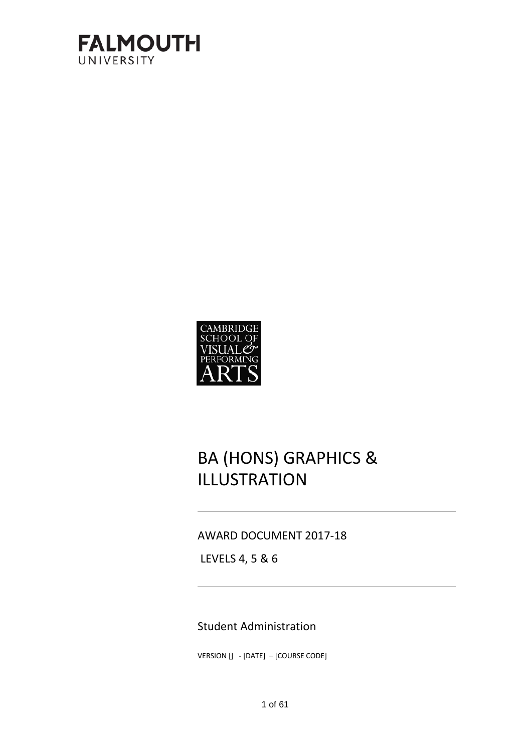



# BA (HONS) GRAPHICS & ILLUSTRATION

### AWARD DOCUMENT 2017-18

LEVELS 4, 5 & 6

### Student Administration

VERSION [] - [DATE] - [COURSE CODE]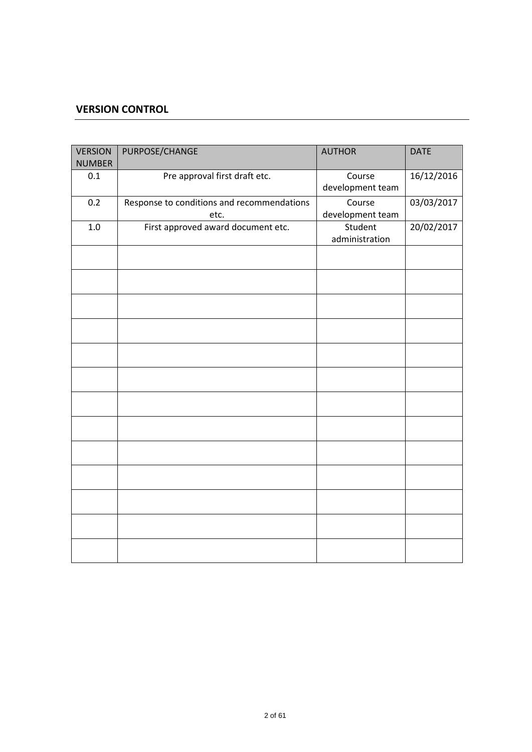### **VERSION CONTROL**

| <b>VERSION</b><br><b>NUMBER</b> | PURPOSE/CHANGE                                     | <b>AUTHOR</b>              | <b>DATE</b> |
|---------------------------------|----------------------------------------------------|----------------------------|-------------|
| 0.1                             | Pre approval first draft etc.                      | Course<br>development team | 16/12/2016  |
| 0.2                             | Response to conditions and recommendations<br>etc. | Course<br>development team | 03/03/2017  |
| $1.0\,$                         | First approved award document etc.                 | Student<br>administration  | 20/02/2017  |
|                                 |                                                    |                            |             |
|                                 |                                                    |                            |             |
|                                 |                                                    |                            |             |
|                                 |                                                    |                            |             |
|                                 |                                                    |                            |             |
|                                 |                                                    |                            |             |
|                                 |                                                    |                            |             |
|                                 |                                                    |                            |             |
|                                 |                                                    |                            |             |
|                                 |                                                    |                            |             |
|                                 |                                                    |                            |             |
|                                 |                                                    |                            |             |
|                                 |                                                    |                            |             |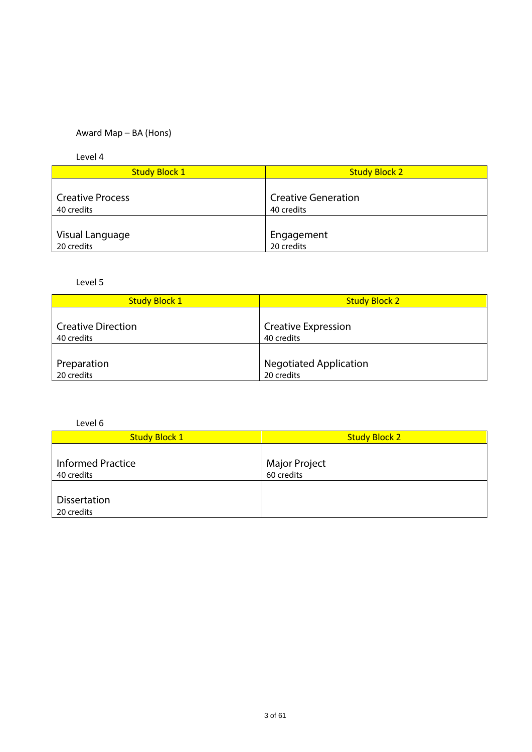### Award Map – BA (Hons)

Level 4

| <b>Study Block 1</b>    | <b>Study Block 2</b>       |
|-------------------------|----------------------------|
|                         |                            |
| <b>Creative Process</b> | <b>Creative Generation</b> |
| 40 credits              | 40 credits                 |
|                         |                            |
| Visual Language         | Engagement                 |
| 20 credits              | 20 credits                 |

### Level 5

| <b>Study Block 1</b>      | <b>Study Block 2</b>          |
|---------------------------|-------------------------------|
| <b>Creative Direction</b> | <b>Creative Expression</b>    |
| 40 credits                | 40 credits                    |
| Preparation               | <b>Negotiated Application</b> |
| 20 credits                | 20 credits                    |

Level 6

| <b>Study Block 1</b>                   | <b>Study Block 2</b>        |
|----------------------------------------|-----------------------------|
| <b>Informed Practice</b><br>40 credits | Major Project<br>60 credits |
| <b>Dissertation</b><br>20 credits      |                             |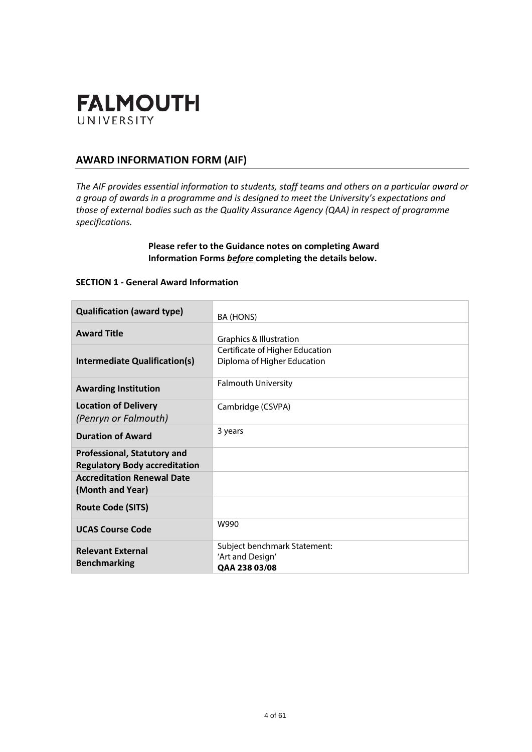

### **AWARD INFORMATION FORM (AIF)**

*The AIF provides essential information to students, staff teams and others on a particular award or a group of awards in a programme and is designed to meet the University's expectations and those of external bodies such as the Quality Assurance Agency (QAA) in respect of programme specifications.*

### **Please refer to the Guidance notes on completing Award Information Forms** *before* **completing the details below.**

### **SECTION 1 - General Award Information**

| <b>Qualification (award type)</b>                                          | BA (HONS)                                                         |
|----------------------------------------------------------------------------|-------------------------------------------------------------------|
| <b>Award Title</b>                                                         | <b>Graphics &amp; Illustration</b>                                |
| Intermediate Qualification(s)                                              | Certificate of Higher Education<br>Diploma of Higher Education    |
| <b>Awarding Institution</b>                                                | <b>Falmouth University</b>                                        |
| <b>Location of Delivery</b><br>(Penryn or Falmouth)                        | Cambridge (CSVPA)                                                 |
| <b>Duration of Award</b>                                                   | 3 years                                                           |
| <b>Professional, Statutory and</b><br><b>Regulatory Body accreditation</b> |                                                                   |
| <b>Accreditation Renewal Date</b><br>(Month and Year)                      |                                                                   |
| <b>Route Code (SITS)</b>                                                   |                                                                   |
| <b>UCAS Course Code</b>                                                    | W990                                                              |
| <b>Relevant External</b><br><b>Benchmarking</b>                            | Subject benchmark Statement:<br>'Art and Design'<br>OAA 238 03/08 |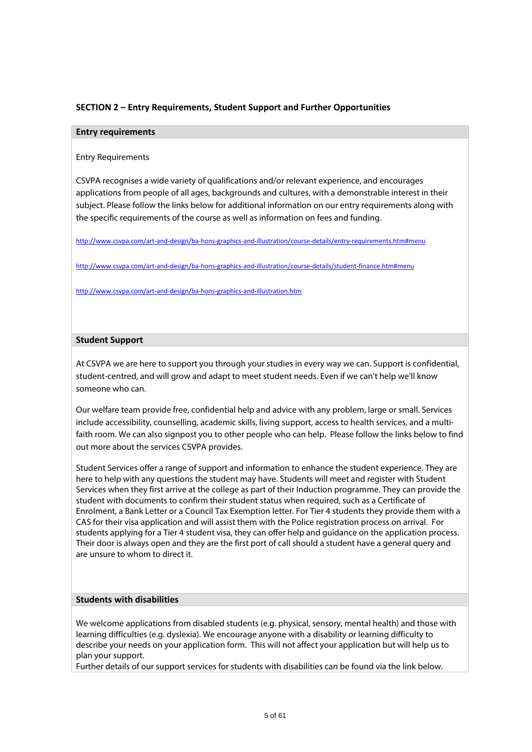### **SECTION 2 – Entry Requirements, Student Support and Further Opportunities**

#### **Entry requirements**

Entry Requirements

CSVPA recognises a wide variety of qualifications and/or relevant experience, and encourages applications from people of all ages, backgrounds and cultures, with a demonstrable interest in their subject. Please follow the links below for additional information on our entry requirements along with the specific requirements of the course as well as information on fees and funding.

<http://www.csvpa.com/art-and-design/ba-hons-graphics-and-illustration/course-details/entry-requirements.htm#menu>

<http://www.csvpa.com/art-and-design/ba-hons-graphics-and-illustration/course-details/student-finance.htm#menu>

<http://www.csvpa.com/art-and-design/ba-hons-graphics-and-illustration.htm>

#### **Student Support**

At CSVPA we are here to support you through your studies in every way we can. Support is confidential, student-centred, and will grow and adapt to meet student needs. Even if we can't help we'll know someone who can.

Our welfare team provide free, confidential help and advice with any problem, large or small. Services include accessibility, counselling, academic skills, living support, access to health services, and a multifaith room. We can also signpost you to other people who can help. Please follow the links below to find out more about the services CSVPA provides.

Student Services offer a range of support and information to enhance the student experience. They are here to help with any questions the student may have. Students will meet and register with Student Services when they first arrive at the college as part of their Induction programme. They can provide the student with documents to confirm their student status when required, such as a Certificate of Enrolment, a Bank Letter or a Council Tax Exemption letter. For Tier 4 students they provide them with a CAS for their visa application and will assist them with the Police registration process on arrival. For students applying for a Tier 4 student visa, they can offer help and guidance on the application process. Their door is always open and they are the first port of call should a student have a general query and are unsure to whom to direct it.

#### **Students with disabilities**

We welcome applications from disabled students (e.g. physical, sensory, mental health) and those with learning difficulties (e.g. dyslexia). We encourage anyone with a disability or learning difficulty to describe your needs on your application form. This will not affect your application but will help us to plan your support.

Further details of our support services for students with disabilities can be found via the link below.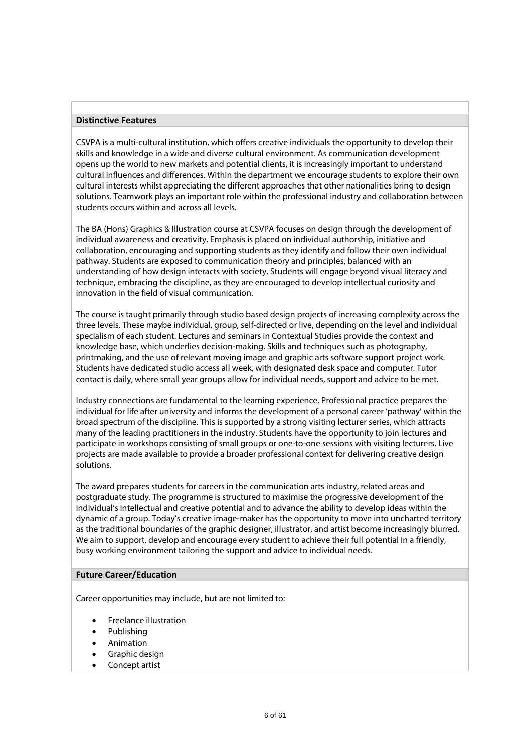#### **Distinctive Features**

CSVPA is a multi-cultural institution, which offers creative individuals the opportunity to develop their skills and knowledge in a wide and diverse cultural environment. As communication development opens up the world to new markets and potential clients, it is increasingly important to understand cultural influences and differences. Within the department we encourage students to explore their own cultural interests whilst appreciating the different approaches that other nationalities bring to design solutions. Teamwork plays an important role within the professional industry and collaboration between students occurs within and across all levels.

The BA (Hons) Graphics & Illustration course at CSVPA focuses on design through the development of individual awareness and creativity. Emphasis is placed on individual authorship, initiative and collaboration, encouraging and supporting students as they identify and follow their own individual pathway. Students are exposed to communication theory and principles, balanced with an understanding of how design interacts with society. Students will engage beyond visual literacy and technique, embracing the discipline, as they are encouraged to develop intellectual curiosity and innovation in the field of visual communication.

The course is taught primarily through studio based design projects of increasing complexity across the three levels. These maybe individual, group, self-directed or live, depending on the level and individual specialism of each student. Lectures and seminars in Contextual Studies provide the context and knowledge base, which underlies decision-making. Skills and techniques such as photography, printmaking, and the use of relevant moving image and graphic arts software support project work. Students have dedicated studio access all week, with designated desk space and computer. Tutor contact is daily, where small year groups allow for individual needs, support and advice to be met.

Industry connections are fundamental to the learning experience. Professional practice prepares the individual for life after university and informs the development of a personal career 'pathway' within the broad spectrum of the discipline. This is supported by a strong visiting lecturer series, which attracts many of the leading practitioners in the industry. Students have the opportunity to join lectures and participate in workshops consisting of small groups or one-to-one sessions with visiting lecturers. Live projects are made available to provide a broader professional context for delivering creative design solutions.

The award prepares students for careers in the communication arts industry, related areas and postgraduate study. The programme is structured to maximise the progressive development of the individual's intellectual and creative potential and to advance the ability to develop ideas within the dynamic of a group. Today's creative image-maker has the opportunity to move into uncharted territory as the traditional boundaries of the graphic designer, illustrator, and artist become increasingly blurred. We aim to support, develop and encourage every student to achieve their full potential in a friendly, busy working environment tailoring the support and advice to individual needs.

#### **Future Career/Education**

Career opportunities may include, but are not limited to:

- Freelance illustration
- Publishing
- Animation
- Graphic design
- Concept artist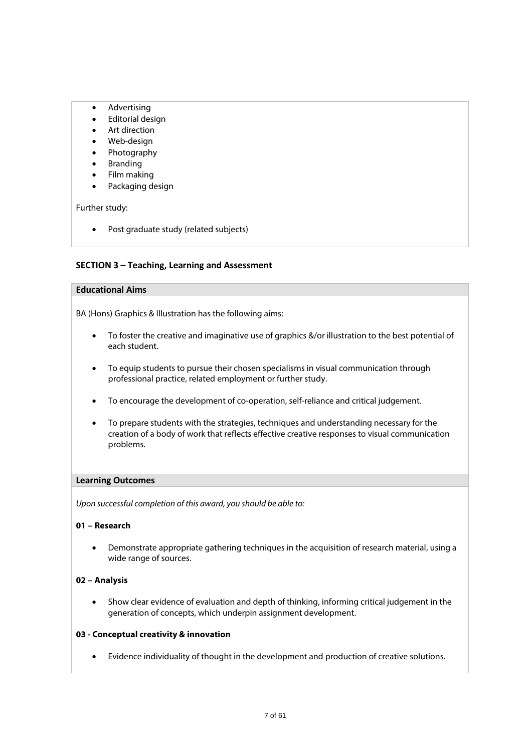- Advertising
- Editorial design
- Art direction
- Web-design
- Photography
- **Branding**
- Film making
- Packaging design

Further study:

• Post graduate study (related subjects)

### **SECTION 3 – Teaching, Learning and Assessment**

### **Educational Aims**

BA (Hons) Graphics & Illustration has the following aims:

- To foster the creative and imaginative use of graphics &/or illustration to the best potential of each student.
- To equip students to pursue their chosen specialisms in visual communication through professional practice, related employment or further study.
- To encourage the development of co-operation, self-reliance and critical judgement.
- To prepare students with the strategies, techniques and understanding necessary for the creation of a body of work that reflects effective creative responses to visual communication problems.

#### **Learning Outcomes**

*Upon successful completion of this award, you should be able to:*

### **01 – Research**

• Demonstrate appropriate gathering techniques in the acquisition of research material, using a wide range of sources.

#### **02 – Analysis**

• Show clear evidence of evaluation and depth of thinking, informing critical judgement in the generation of concepts, which underpin assignment development.

#### **03 - Conceptual creativity & innovation**

• Evidence individuality of thought in the development and production of creative solutions.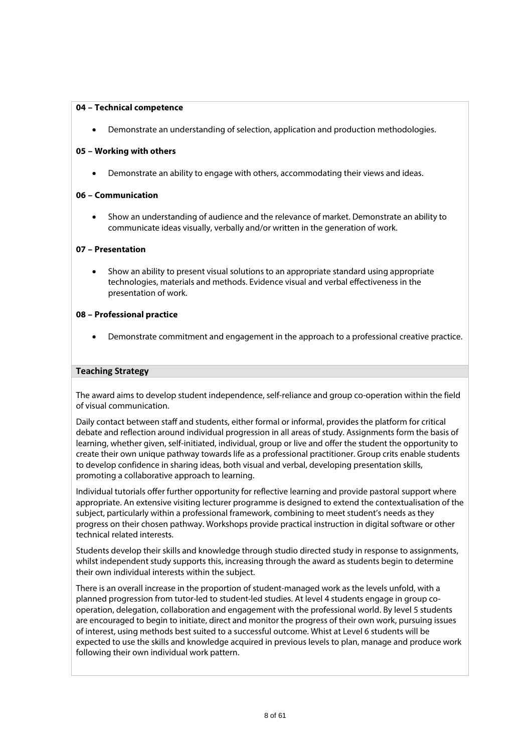#### **04 – Technical competence**

• Demonstrate an understanding of selection, application and production methodologies.

### **05 – Working with others**

• Demonstrate an ability to engage with others, accommodating their views and ideas.

### **06 – Communication**

• Show an understanding of audience and the relevance of market. Demonstrate an ability to communicate ideas visually, verbally and/or written in the generation of work.

### **07 – Presentation**

• Show an ability to present visual solutions to an appropriate standard using appropriate technologies, materials and methods. Evidence visual and verbal effectiveness in the presentation of work.

#### **08 – Professional practice**

• Demonstrate commitment and engagement in the approach to a professional creative practice.

#### **Teaching Strategy**

The award aims to develop student independence, self-reliance and group co-operation within the field of visual communication.

Daily contact between staff and students, either formal or informal, provides the platform for critical debate and reflection around individual progression in all areas of study. Assignments form the basis of learning, whether given, self-initiated, individual, group or live and offer the student the opportunity to create their own unique pathway towards life as a professional practitioner. Group crits enable students to develop confidence in sharing ideas, both visual and verbal, developing presentation skills, promoting a collaborative approach to learning.

Individual tutorials offer further opportunity for reflective learning and provide pastoral support where appropriate. An extensive visiting lecturer programme is designed to extend the contextualisation of the subject, particularly within a professional framework, combining to meet student's needs as they progress on their chosen pathway. Workshops provide practical instruction in digital software or other technical related interests.

Students develop their skills and knowledge through studio directed study in response to assignments, whilst independent study supports this, increasing through the award as students begin to determine their own individual interests within the subject.

There is an overall increase in the proportion of student-managed work as the levels unfold, with a planned progression from tutor-led to student-led studies. At level 4 students engage in group cooperation, delegation, collaboration and engagement with the professional world. By level 5 students are encouraged to begin to initiate, direct and monitor the progress of their own work, pursuing issues of interest, using methods best suited to a successful outcome. Whist at Level 6 students will be expected to use the skills and knowledge acquired in previous levels to plan, manage and produce work following their own individual work pattern.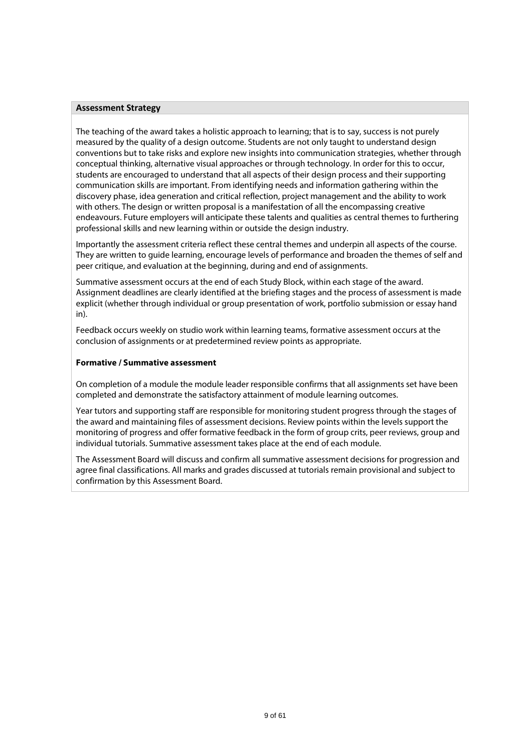#### **Assessment Strategy**

The teaching of the award takes a holistic approach to learning; that is to say, success is not purely measured by the quality of a design outcome. Students are not only taught to understand design conventions but to take risks and explore new insights into communication strategies, whether through conceptual thinking, alternative visual approaches or through technology. In order for this to occur, students are encouraged to understand that all aspects of their design process and their supporting communication skills are important. From identifying needs and information gathering within the discovery phase, idea generation and critical reflection, project management and the ability to work with others. The design or written proposal is a manifestation of all the encompassing creative endeavours. Future employers will anticipate these talents and qualities as central themes to furthering professional skills and new learning within or outside the design industry.

Importantly the assessment criteria reflect these central themes and underpin all aspects of the course. They are written to guide learning, encourage levels of performance and broaden the themes of self and peer critique, and evaluation at the beginning, during and end of assignments.

Summative assessment occurs at the end of each Study Block, within each stage of the award. Assignment deadlines are clearly identified at the briefing stages and the process of assessment is made explicit (whether through individual or group presentation of work, portfolio submission or essay hand in).

Feedback occurs weekly on studio work within learning teams, formative assessment occurs at the conclusion of assignments or at predetermined review points as appropriate.

#### **Formative / Summative assessment**

On completion of a module the module leader responsible confirms that all assignments set have been completed and demonstrate the satisfactory attainment of module learning outcomes.

Year tutors and supporting staff are responsible for monitoring student progress through the stages of the award and maintaining files of assessment decisions. Review points within the levels support the monitoring of progress and offer formative feedback in the form of group crits, peer reviews, group and individual tutorials. Summative assessment takes place at the end of each module.

The Assessment Board will discuss and confirm all summative assessment decisions for progression and agree final classifications. All marks and grades discussed at tutorials remain provisional and subject to confirmation by this Assessment Board.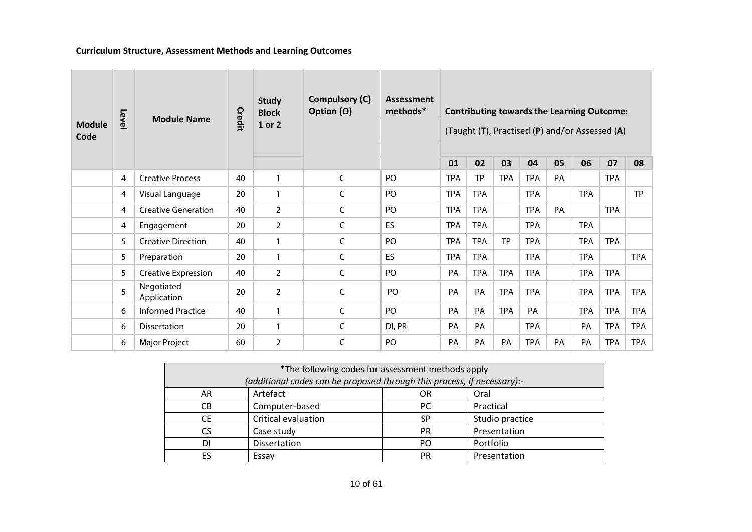### **Curriculum Structure, Assessment Methods and Learning Outcomes**

| <b>Module</b><br>Code | Level           | <b>Module Name</b>         | Credit | <b>Study</b><br><b>Block</b><br>1 or 2 | <b>Compulsory (C)</b><br>Option (O) | <b>Assessment</b><br>methods* |            |            |            |            |           | <b>Contributing towards the Learning Outcome:</b><br>(Taught (T), Practised (P) and/or Assessed (A) |            |            |
|-----------------------|-----------------|----------------------------|--------|----------------------------------------|-------------------------------------|-------------------------------|------------|------------|------------|------------|-----------|-----------------------------------------------------------------------------------------------------|------------|------------|
|                       |                 |                            |        |                                        |                                     |                               | 01         | 02         | 03         | 04         | 05        | 06                                                                                                  | 07         | 08         |
|                       | 4               | <b>Creative Process</b>    | 40     | $\mathbf{1}$                           | $\mathsf C$                         | P <sub>O</sub>                | <b>TPA</b> | <b>TP</b>  | <b>TPA</b> | <b>TPA</b> | PA        |                                                                                                     | <b>TPA</b> |            |
|                       | 4               | Visual Language            | 20     | $\mathbf{1}$                           | C                                   | PO                            | <b>TPA</b> | <b>TPA</b> |            | <b>TPA</b> |           | <b>TPA</b>                                                                                          |            | <b>TP</b>  |
|                       | 4               | <b>Creative Generation</b> | 40     | $\overline{2}$                         | C                                   | PO                            | <b>TPA</b> | <b>TPA</b> |            | <b>TPA</b> | PA        |                                                                                                     | <b>TPA</b> |            |
|                       | 4               | Engagement                 | 20     | $\overline{2}$                         | C                                   | <b>ES</b>                     | <b>TPA</b> | <b>TPA</b> |            | <b>TPA</b> |           | <b>TPA</b>                                                                                          |            |            |
|                       | 5               | <b>Creative Direction</b>  | 40     | $\mathbf{1}$                           | C                                   | PO                            | <b>TPA</b> | <b>TPA</b> | TP         | <b>TPA</b> |           | <b>TPA</b>                                                                                          | <b>TPA</b> |            |
|                       | 5               | Preparation                | 20     | $\mathbf{1}$                           | C                                   | ES                            | <b>TPA</b> | <b>TPA</b> |            | <b>TPA</b> |           | <b>TPA</b>                                                                                          |            | <b>TPA</b> |
|                       | 5               | Creative Expression        | 40     | $\overline{2}$                         | C                                   | PO                            | PA         | <b>TPA</b> | <b>TPA</b> | <b>TPA</b> |           | <b>TPA</b>                                                                                          | <b>TPA</b> |            |
|                       | $5\overline{)}$ | Negotiated<br>Application  | 20     | $\overline{2}$                         | C                                   | PO                            | PA         | PA         | <b>TPA</b> | <b>TPA</b> |           | <b>TPA</b>                                                                                          | <b>TPA</b> | <b>TPA</b> |
|                       | 6               | <b>Informed Practice</b>   | 40     | $\mathbf{1}$                           | C                                   | PO                            | PA         | PA         | <b>TPA</b> | PA         |           | <b>TPA</b>                                                                                          | <b>TPA</b> | <b>TPA</b> |
|                       | 6               | <b>Dissertation</b>        | 20     | $\mathbf{1}$                           | C                                   | DI, PR                        | PA         | PA         |            | <b>TPA</b> |           | PA                                                                                                  | <b>TPA</b> | <b>TPA</b> |
|                       | 6               | <b>Major Project</b>       | 60     | $\overline{2}$                         | C                                   | PO                            | PA         | PA         | <b>PA</b>  | TPA        | <b>PA</b> | PA                                                                                                  | <b>TPA</b> | <b>TPA</b> |

| *The following codes for assessment methods apply                       |                     |           |                 |  |  |  |
|-------------------------------------------------------------------------|---------------------|-----------|-----------------|--|--|--|
| (additional codes can be proposed through this process, if necessary):- |                     |           |                 |  |  |  |
| AR                                                                      | Artefact            | <b>OR</b> | Oral            |  |  |  |
| CВ                                                                      | Computer-based      | PC        | Practical       |  |  |  |
| <b>CE</b>                                                               | Critical evaluation | SP        | Studio practice |  |  |  |
| <b>CS</b>                                                               | Case study          | PR        | Presentation    |  |  |  |
| DI                                                                      | <b>Dissertation</b> | PO        | Portfolio       |  |  |  |
| ES                                                                      | Essay               | PR        | Presentation    |  |  |  |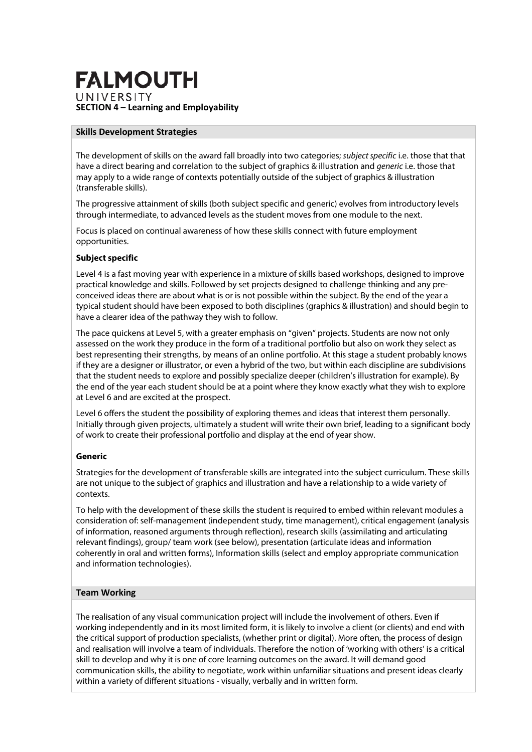## **FALMOUTH** UNIVERSITY **SECTION 4 – Learning and Employability**

#### **Skills Development Strategies**

The development of skills on the award fall broadly into two categories; *subject specific* i.e. those that that have a direct bearing and correlation to the subject of graphics & illustration and *generic* i.e. those that may apply to a wide range of contexts potentially outside of the subject of graphics & illustration (transferable skills).

The progressive attainment of skills (both subject specific and generic) evolves from introductory levels through intermediate, to advanced levels as the student moves from one module to the next.

Focus is placed on continual awareness of how these skills connect with future employment opportunities.

### **Subject specific**

Level 4 is a fast moving year with experience in a mixture of skills based workshops, designed to improve practical knowledge and skills. Followed by set projects designed to challenge thinking and any preconceived ideas there are about what is or is not possible within the subject. By the end of the year a typical student should have been exposed to both disciplines (graphics & illustration) and should begin to have a clearer idea of the pathway they wish to follow.

The pace quickens at Level 5, with a greater emphasis on "given" projects. Students are now not only assessed on the work they produce in the form of a traditional portfolio but also on work they select as best representing their strengths, by means of an online portfolio. At this stage a student probably knows if they are a designer or illustrator, or even a hybrid of the two, but within each discipline are subdivisions that the student needs to explore and possibly specialize deeper (children's illustration for example). By the end of the year each student should be at a point where they know exactly what they wish to explore at Level 6 and are excited at the prospect.

Level 6 offers the student the possibility of exploring themes and ideas that interest them personally. Initially through given projects, ultimately a student will write their own brief, leading to a significant body of work to create their professional portfolio and display at the end of year show.

#### **Generic**

Strategies for the development of transferable skills are integrated into the subject curriculum. These skills are not unique to the subject of graphics and illustration and have a relationship to a wide variety of contexts.

To help with the development of these skills the student is required to embed within relevant modules a consideration of: self-management (independent study, time management), critical engagement (analysis of information, reasoned arguments through reflection), research skills (assimilating and articulating relevant findings), group/ team work (see below), presentation (articulate ideas and information coherently in oral and written forms), Information skills (select and employ appropriate communication and information technologies).

### **Team Working**

The realisation of any visual communication project will include the involvement of others. Even if working independently and in its most limited form, it is likely to involve a client (or clients) and end with the critical support of production specialists, (whether print or digital). More often, the process of design and realisation will involve a team of individuals. Therefore the notion of 'working with others' is a critical skill to develop and why it is one of core learning outcomes on the award. It will demand good communication skills, the ability to negotiate, work within unfamiliar situations and present ideas clearly within a variety of different situations - visually, verbally and in written form.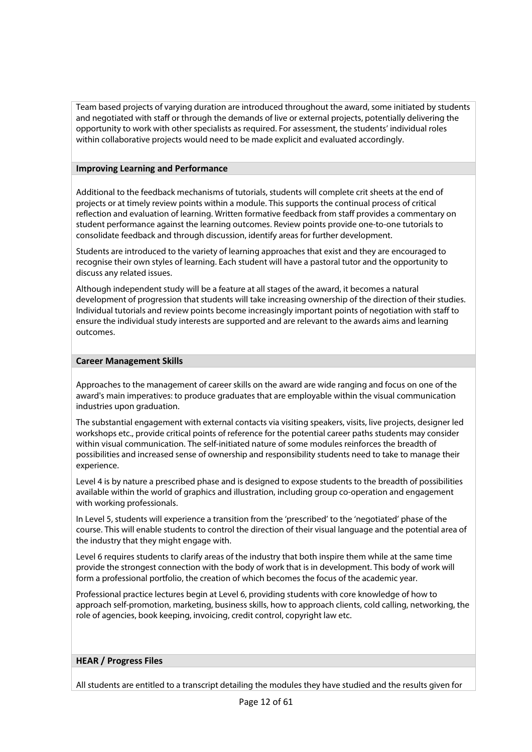Team based projects of varying duration are introduced throughout the award, some initiated by students and negotiated with staff or through the demands of live or external projects, potentially delivering the opportunity to work with other specialists as required. For assessment, the students' individual roles within collaborative projects would need to be made explicit and evaluated accordingly.

### **Improving Learning and Performance**

Additional to the feedback mechanisms of tutorials, students will complete crit sheets at the end of projects or at timely review points within a module. This supports the continual process of critical reflection and evaluation of learning. Written formative feedback from staff provides a commentary on student performance against the learning outcomes. Review points provide one-to-one tutorials to consolidate feedback and through discussion, identify areas for further development.

Students are introduced to the variety of learning approaches that exist and they are encouraged to recognise their own styles of learning. Each student will have a pastoral tutor and the opportunity to discuss any related issues.

Although independent study will be a feature at all stages of the award, it becomes a natural development of progression that students will take increasing ownership of the direction of their studies. Individual tutorials and review points become increasingly important points of negotiation with staff to ensure the individual study interests are supported and are relevant to the awards aims and learning outcomes.

### **Career Management Skills**

Approaches to the management of career skills on the award are wide ranging and focus on one of the award's main imperatives: to produce graduates that are employable within the visual communication industries upon graduation.

The substantial engagement with external contacts via visiting speakers, visits, live projects, designer led workshops etc., provide critical points of reference for the potential career paths students may consider within visual communication. The self-initiated nature of some modules reinforces the breadth of possibilities and increased sense of ownership and responsibility students need to take to manage their experience.

Level 4 is by nature a prescribed phase and is designed to expose students to the breadth of possibilities available within the world of graphics and illustration, including group co-operation and engagement with working professionals.

In Level 5, students will experience a transition from the 'prescribed' to the 'negotiated' phase of the course. This will enable students to control the direction of their visual language and the potential area of the industry that they might engage with.

Level 6 requires students to clarify areas of the industry that both inspire them while at the same time provide the strongest connection with the body of work that is in development. This body of work will form a professional portfolio, the creation of which becomes the focus of the academic year.

Professional practice lectures begin at Level 6, providing students with core knowledge of how to approach self-promotion, marketing, business skills, how to approach clients, cold calling, networking, the role of agencies, book keeping, invoicing, credit control, copyright law etc.

### **HEAR / Progress Files**

All students are entitled to a transcript detailing the modules they have studied and the results given for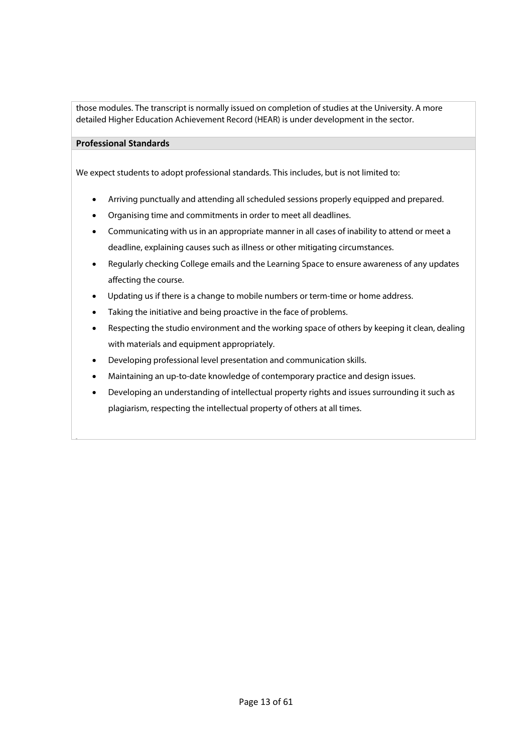those modules. The transcript is normally issued on completion of studies at the University. A more detailed Higher Education Achievement Record (HEAR) is under development in the sector.

### **Professional Standards**

We expect students to adopt professional standards. This includes, but is not limited to:

- Arriving punctually and attending all scheduled sessions properly equipped and prepared.
- Organising time and commitments in order to meet all deadlines.
- Communicating with us in an appropriate manner in all cases of inability to attend or meet a deadline, explaining causes such as illness or other mitigating circumstances.
- Regularly checking College emails and the Learning Space to ensure awareness of any updates affecting the course.
- Updating us if there is a change to mobile numbers or term-time or home address.
- Taking the initiative and being proactive in the face of problems.
- Respecting the studio environment and the working space of others by keeping it clean, dealing with materials and equipment appropriately.
- Developing professional level presentation and communication skills.
- Maintaining an up-to-date knowledge of contemporary practice and design issues.
- Developing an understanding of intellectual property rights and issues surrounding it such as plagiarism, respecting the intellectual property of others at all times.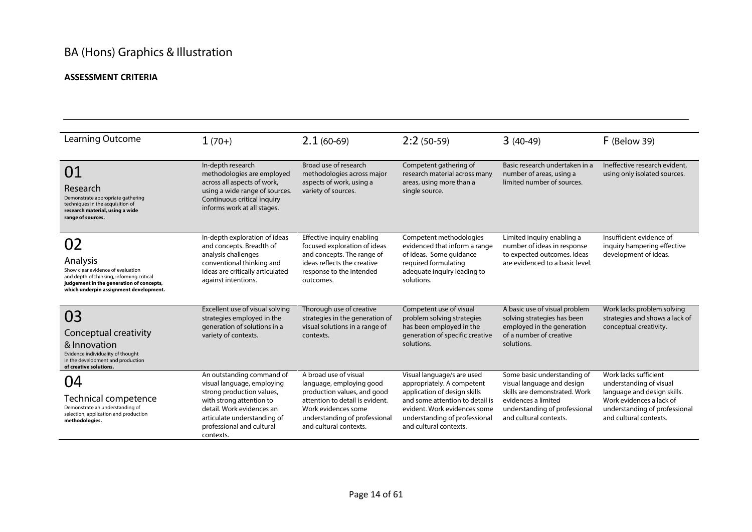# BA (Hons) Graphics & Illustration

### **ASSESSMENT CRITERIA**

| Learning Outcome                                                                                                                                                                       | $1(70+)$                                                                                                                                                                                                               | $2.1(60-69)$                                                                                                                                                                                          | $2:2(50-59)$                                                                                                                                                                                                           | $3(40-49)$                                                                                                                                                                   | $F$ (Below 39)                                                                                                                                                         |
|----------------------------------------------------------------------------------------------------------------------------------------------------------------------------------------|------------------------------------------------------------------------------------------------------------------------------------------------------------------------------------------------------------------------|-------------------------------------------------------------------------------------------------------------------------------------------------------------------------------------------------------|------------------------------------------------------------------------------------------------------------------------------------------------------------------------------------------------------------------------|------------------------------------------------------------------------------------------------------------------------------------------------------------------------------|------------------------------------------------------------------------------------------------------------------------------------------------------------------------|
| 01<br>Research<br>Demonstrate appropriate gathering<br>techniques in the acquisition of<br>research material, using a wide<br>range of sources.                                        | In-depth research<br>methodologies are employed<br>across all aspects of work,<br>using a wide range of sources.<br>Continuous critical inquiry<br>informs work at all stages.                                         | Broad use of research<br>methodologies across major<br>aspects of work, using a<br>variety of sources.                                                                                                | Competent gathering of<br>research material across many<br>areas, using more than a<br>single source.                                                                                                                  | Basic research undertaken in a<br>number of areas, using a<br>limited number of sources.                                                                                     | Ineffective research evident,<br>using only isolated sources.                                                                                                          |
| 02<br>Analysis<br>Show clear evidence of evaluation<br>and depth of thinking, informing critical<br>judgement in the generation of concepts,<br>which underpin assignment development. | In-depth exploration of ideas<br>and concepts. Breadth of<br>analysis challenges<br>conventional thinking and<br>ideas are critically articulated<br>against intentions.                                               | Effective inquiry enabling<br>focused exploration of ideas<br>and concepts. The range of<br>ideas reflects the creative<br>response to the intended<br>outcomes.                                      | Competent methodologies<br>evidenced that inform a range<br>of ideas. Some quidance<br>required formulating<br>adequate inquiry leading to<br>solutions.                                                               | Limited inquiry enabling a<br>number of ideas in response<br>to expected outcomes. Ideas<br>are evidenced to a basic level.                                                  | Insufficient evidence of<br>inguiry hampering effective<br>development of ideas.                                                                                       |
| 03<br>Conceptual creativity<br>& Innovation<br>Evidence individuality of thought<br>in the development and production<br>of creative solutions.                                        | Excellent use of visual solving<br>strategies employed in the<br>generation of solutions in a<br>variety of contexts.                                                                                                  | Thorough use of creative<br>strategies in the generation of<br>visual solutions in a range of<br>contexts.                                                                                            | Competent use of visual<br>problem solving strategies<br>has been employed in the<br>generation of specific creative<br>solutions.                                                                                     | A basic use of visual problem<br>solving strategies has been<br>employed in the generation<br>of a number of creative<br>solutions.                                          | Work lacks problem solving<br>strategies and shows a lack of<br>conceptual creativity.                                                                                 |
| 04<br><b>Technical competence</b><br>Demonstrate an understanding of<br>selection, application and production<br>methodologies.                                                        | An outstanding command of<br>visual language, employing<br>strong production values,<br>with strong attention to<br>detail. Work evidences an<br>articulate understanding of<br>professional and cultural<br>contexts. | A broad use of visual<br>language, employing good<br>production values, and good<br>attention to detail is evident.<br>Work evidences some<br>understanding of professional<br>and cultural contexts. | Visual language/s are used<br>appropriately. A competent<br>application of design skills<br>and some attention to detail is<br>evident. Work evidences some<br>understanding of professional<br>and cultural contexts. | Some basic understanding of<br>visual language and design<br>skills are demonstrated. Work<br>evidences a limited<br>understanding of professional<br>and cultural contexts. | Work lacks sufficient<br>understanding of visual<br>language and design skills.<br>Work evidences a lack of<br>understanding of professional<br>and cultural contexts. |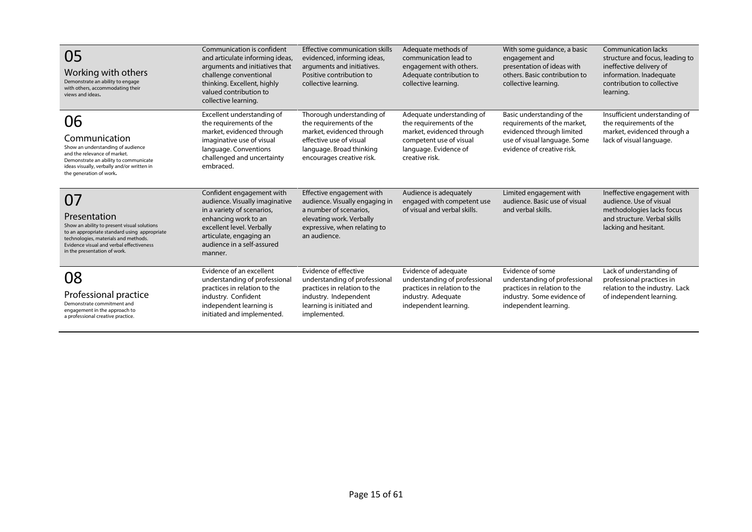| 05<br>Working with others<br>Demonstrate an ability to engage<br>with others, accommodating their<br>views and ideas.                                                                                                                 | Communication is confident<br>and articulate informing ideas,<br>arguments and initiatives that<br>challenge conventional<br>thinking. Excellent, highly<br>valued contribution to<br>collective learning.         | Effective communication skills<br>evidenced, informing ideas,<br>arguments and initiatives.<br>Positive contribution to<br>collective learning.                       | Adequate methods of<br>communication lead to<br>engagement with others.<br>Adequate contribution to<br>collective learning.                             | With some guidance, a basic<br>engagement and<br>presentation of ideas with<br>others. Basic contribution to<br>collective learning.                 | <b>Communication lacks</b><br>structure and focus, leading to<br>ineffective delivery of<br>information. Inadequate<br>contribution to collective<br>learning. |
|---------------------------------------------------------------------------------------------------------------------------------------------------------------------------------------------------------------------------------------|--------------------------------------------------------------------------------------------------------------------------------------------------------------------------------------------------------------------|-----------------------------------------------------------------------------------------------------------------------------------------------------------------------|---------------------------------------------------------------------------------------------------------------------------------------------------------|------------------------------------------------------------------------------------------------------------------------------------------------------|----------------------------------------------------------------------------------------------------------------------------------------------------------------|
| 06<br>Communication<br>Show an understanding of audience<br>and the relevance of market.<br>Demonstrate an ability to communicate<br>ideas visually, verbally and/or written in<br>the generation of work.                            | Excellent understanding of<br>the requirements of the<br>market, evidenced through<br>imaginative use of visual<br>language. Conventions<br>challenged and uncertainty<br>embraced.                                | Thorough understanding of<br>the requirements of the<br>market, evidenced through<br>effective use of visual<br>language. Broad thinking<br>encourages creative risk. | Adequate understanding of<br>the requirements of the<br>market, evidenced through<br>competent use of visual<br>language. Evidence of<br>creative risk. | Basic understanding of the<br>requirements of the market,<br>evidenced through limited<br>use of visual language. Some<br>evidence of creative risk. | Insufficient understanding of<br>the requirements of the<br>market, evidenced through a<br>lack of visual language.                                            |
| 07<br>Presentation<br>Show an ability to present visual solutions<br>to an appropriate standard using appropriate<br>technologies, materials and methods.<br>Evidence visual and verbal effectiveness<br>in the presentation of work. | Confident engagement with<br>audience. Visually imaginative<br>in a variety of scenarios,<br>enhancing work to an<br>excellent level. Verbally<br>articulate, engaging an<br>audience in a self-assured<br>manner. | Effective engagement with<br>audience. Visually engaging in<br>a number of scenarios,<br>elevating work. Verbally<br>expressive, when relating to<br>an audience.     | Audience is adequately<br>engaged with competent use<br>of visual and verbal skills.                                                                    | Limited engagement with<br>audience. Basic use of visual<br>and verbal skills.                                                                       | Ineffective engagement with<br>audience. Use of visual<br>methodologies lacks focus<br>and structure. Verbal skills<br>lacking and hesitant.                   |
| 08<br>Professional practice<br>Demonstrate commitment and<br>engagement in the approach to<br>a professional creative practice.                                                                                                       | Evidence of an excellent<br>understanding of professional<br>practices in relation to the<br>industry. Confident<br>independent learning is<br>initiated and implemented.                                          | Evidence of effective<br>understanding of professional<br>practices in relation to the<br>industry. Independent<br>learning is initiated and<br>implemented.          | Evidence of adequate<br>understanding of professional<br>practices in relation to the<br>industry. Adequate<br>independent learning.                    | Evidence of some<br>understanding of professional<br>practices in relation to the<br>industry. Some evidence of<br>independent learning.             | Lack of understanding of<br>professional practices in<br>relation to the industry. Lack<br>of independent learning.                                            |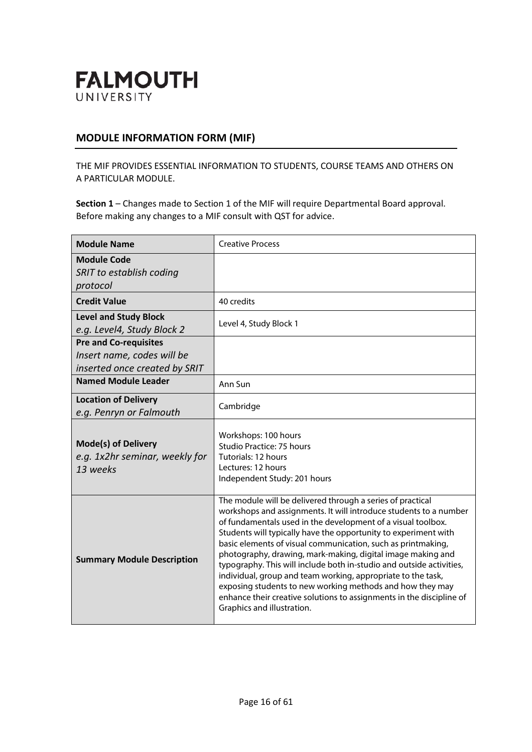

### **MODULE INFORMATION FORM (MIF)**

THE MIF PROVIDES ESSENTIAL INFORMATION TO STUDENTS, COURSE TEAMS AND OTHERS ON A PARTICULAR MODULE.

| <b>Module Name</b>                                                                          | <b>Creative Process</b>                                                                                                                                                                                                                                                                                                                                                                                                                                                                                                                                                                                                                                                                                      |
|---------------------------------------------------------------------------------------------|--------------------------------------------------------------------------------------------------------------------------------------------------------------------------------------------------------------------------------------------------------------------------------------------------------------------------------------------------------------------------------------------------------------------------------------------------------------------------------------------------------------------------------------------------------------------------------------------------------------------------------------------------------------------------------------------------------------|
| <b>Module Code</b><br>SRIT to establish coding<br>protocol                                  |                                                                                                                                                                                                                                                                                                                                                                                                                                                                                                                                                                                                                                                                                                              |
| <b>Credit Value</b>                                                                         | 40 credits                                                                                                                                                                                                                                                                                                                                                                                                                                                                                                                                                                                                                                                                                                   |
| <b>Level and Study Block</b><br>e.g. Level4, Study Block 2                                  | Level 4, Study Block 1                                                                                                                                                                                                                                                                                                                                                                                                                                                                                                                                                                                                                                                                                       |
| <b>Pre and Co-requisites</b><br>Insert name, codes will be<br>inserted once created by SRIT |                                                                                                                                                                                                                                                                                                                                                                                                                                                                                                                                                                                                                                                                                                              |
| <b>Named Module Leader</b>                                                                  | Ann Sun                                                                                                                                                                                                                                                                                                                                                                                                                                                                                                                                                                                                                                                                                                      |
| <b>Location of Delivery</b><br>e.g. Penryn or Falmouth                                      | Cambridge                                                                                                                                                                                                                                                                                                                                                                                                                                                                                                                                                                                                                                                                                                    |
| <b>Mode(s) of Delivery</b><br>e.g. 1x2hr seminar, weekly for<br>13 weeks                    | Workshops: 100 hours<br>Studio Practice: 75 hours<br>Tutorials: 12 hours<br>Lectures: 12 hours<br>Independent Study: 201 hours                                                                                                                                                                                                                                                                                                                                                                                                                                                                                                                                                                               |
| <b>Summary Module Description</b>                                                           | The module will be delivered through a series of practical<br>workshops and assignments. It will introduce students to a number<br>of fundamentals used in the development of a visual toolbox.<br>Students will typically have the opportunity to experiment with<br>basic elements of visual communication, such as printmaking,<br>photography, drawing, mark-making, digital image making and<br>typography. This will include both in-studio and outside activities,<br>individual, group and team working, appropriate to the task,<br>exposing students to new working methods and how they may<br>enhance their creative solutions to assignments in the discipline of<br>Graphics and illustration. |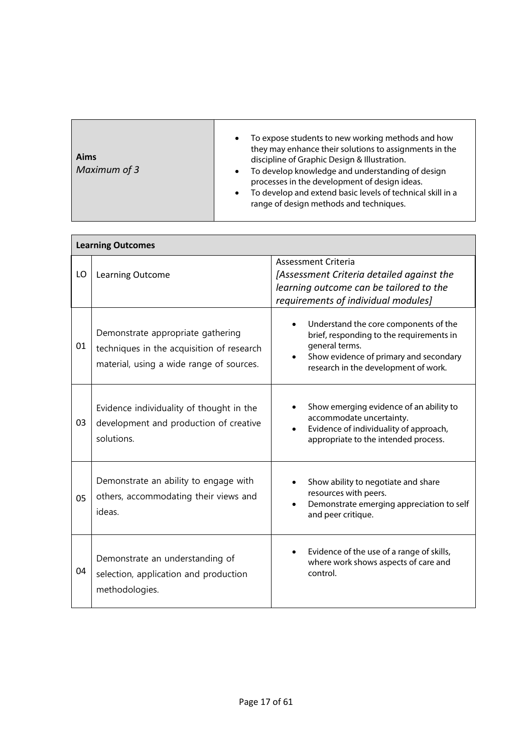| Aims<br>Maximum of 3 | To expose students to new working methods and how<br>$\bullet$<br>they may enhance their solutions to assignments in the<br>discipline of Graphic Design & Illustration.<br>To develop knowledge and understanding of design<br>$\bullet$<br>processes in the development of design ideas.<br>To develop and extend basic levels of technical skill in a<br>$\bullet$<br>range of design methods and techniques. |
|----------------------|------------------------------------------------------------------------------------------------------------------------------------------------------------------------------------------------------------------------------------------------------------------------------------------------------------------------------------------------------------------------------------------------------------------|
|----------------------|------------------------------------------------------------------------------------------------------------------------------------------------------------------------------------------------------------------------------------------------------------------------------------------------------------------------------------------------------------------------------------------------------------------|

|    | <b>Learning Outcomes</b>                                                                                                   |                                                                                                                                                                                       |  |  |  |  |  |
|----|----------------------------------------------------------------------------------------------------------------------------|---------------------------------------------------------------------------------------------------------------------------------------------------------------------------------------|--|--|--|--|--|
| LO | Learning Outcome                                                                                                           | Assessment Criteria<br>[Assessment Criteria detailed against the<br>learning outcome can be tailored to the<br>requirements of individual modules]                                    |  |  |  |  |  |
| 01 | Demonstrate appropriate gathering<br>techniques in the acquisition of research<br>material, using a wide range of sources. | Understand the core components of the<br>brief, responding to the requirements in<br>general terms.<br>Show evidence of primary and secondary<br>research in the development of work. |  |  |  |  |  |
| 03 | Evidence individuality of thought in the<br>development and production of creative<br>solutions.                           | Show emerging evidence of an ability to<br>accommodate uncertainty.<br>Evidence of individuality of approach,<br>$\bullet$<br>appropriate to the intended process.                    |  |  |  |  |  |
| 05 | Demonstrate an ability to engage with<br>others, accommodating their views and<br>ideas.                                   | Show ability to negotiate and share<br>resources with peers.<br>Demonstrate emerging appreciation to self<br>and peer critique.                                                       |  |  |  |  |  |
| 04 | Demonstrate an understanding of<br>selection, application and production<br>methodologies.                                 | Evidence of the use of a range of skills,<br>where work shows aspects of care and<br>control.                                                                                         |  |  |  |  |  |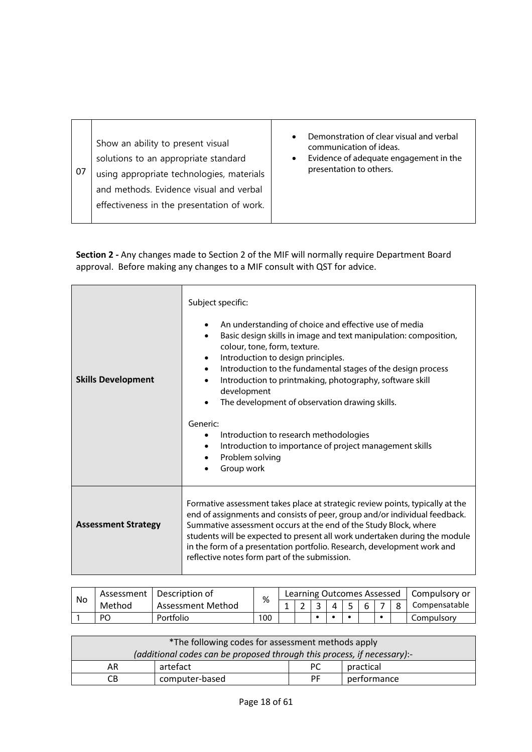| Demonstration of clear visual and verbal<br>communication of ideas.<br>Evidence of adequate engagement in the<br>presentation to others. |
|------------------------------------------------------------------------------------------------------------------------------------------|
|                                                                                                                                          |

| <b>Skills Development</b>  | Subject specific:<br>An understanding of choice and effective use of media<br>٠<br>Basic design skills in image and text manipulation: composition,<br>$\bullet$<br>colour, tone, form, texture.<br>Introduction to design principles.<br>$\bullet$<br>Introduction to the fundamental stages of the design process<br>$\bullet$<br>Introduction to printmaking, photography, software skill<br>$\bullet$<br>development<br>The development of observation drawing skills.<br>Generic:<br>Introduction to research methodologies<br>$\bullet$<br>Introduction to importance of project management skills<br>$\bullet$<br>Problem solving<br>$\bullet$<br>Group work |
|----------------------------|---------------------------------------------------------------------------------------------------------------------------------------------------------------------------------------------------------------------------------------------------------------------------------------------------------------------------------------------------------------------------------------------------------------------------------------------------------------------------------------------------------------------------------------------------------------------------------------------------------------------------------------------------------------------|
| <b>Assessment Strategy</b> | Formative assessment takes place at strategic review points, typically at the<br>end of assignments and consists of peer, group and/or individual feedback.<br>Summative assessment occurs at the end of the Study Block, where<br>students will be expected to present all work undertaken during the module<br>in the form of a presentation portfolio. Research, development work and<br>reflective notes form part of the submission.                                                                                                                                                                                                                           |

|    | Assessment I | Description of    |     |  |  |  |  | Learning Outcomes Assessed   Compulsory or |
|----|--------------|-------------------|-----|--|--|--|--|--------------------------------------------|
| No | Method       | Assessment Method | %   |  |  |  |  | Compensatable                              |
|    | PO           | Portfolio         | 100 |  |  |  |  | Compulsory                                 |

| *The following codes for assessment methods apply                       |          |     |           |  |  |  |  |
|-------------------------------------------------------------------------|----------|-----|-----------|--|--|--|--|
| (additional codes can be proposed through this process, if necessary):- |          |     |           |  |  |  |  |
| AR                                                                      | artefact | PC. | practical |  |  |  |  |
| computer-based<br>performance<br><b>PF</b><br>CВ                        |          |     |           |  |  |  |  |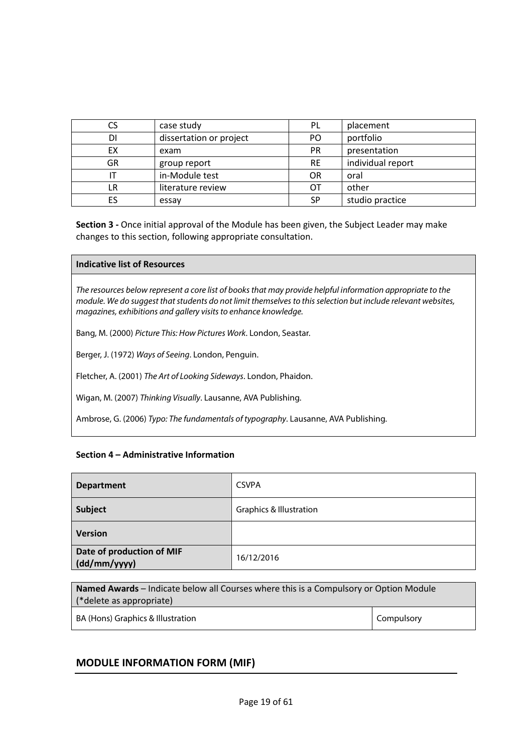| CS | case study              | PL        | placement         |
|----|-------------------------|-----------|-------------------|
| DI | dissertation or project | PO.       | portfolio         |
| ЕX | exam                    | <b>PR</b> | presentation      |
| GR | group report            | <b>RE</b> | individual report |
|    | in-Module test          | <b>OR</b> | oral              |
| LR | literature review       | OТ        | other             |
| ES | essay                   | SP        | studio practice   |

### **Indicative list of Resources**

*The resources below represent a core list of books that may provide helpful information appropriate to the module. We do suggest that students do not limit themselves to this selection but include relevant websites, magazines, exhibitions and gallery visits to enhance knowledge.*

Bang, M. (2000) *Picture This: How Pictures Work*. London, Seastar.

Berger, J. (1972) *Ways of Seeing*. London, Penguin.

Fletcher, A. (2001) *The Art of Looking Sideways*. London, Phaidon.

Wigan, M. (2007) *Thinking Visually*. Lausanne, AVA Publishing.

Ambrose, G. (2006) *Typo: The fundamentals of typography*. Lausanne, AVA Publishing.

### **Section 4 – Administrative Information**

| <b>Department</b>                         | <b>CSVPA</b>                       |
|-------------------------------------------|------------------------------------|
| Subject                                   | <b>Graphics &amp; Illustration</b> |
| <b>Version</b>                            |                                    |
| Date of production of MIF<br>(dd/mm/yyyy) | 16/12/2016                         |

| Named Awards - Indicate below all Courses where this is a Compulsory or Option Module |            |  |  |  |  |
|---------------------------------------------------------------------------------------|------------|--|--|--|--|
| (*delete as appropriate)                                                              |            |  |  |  |  |
| BA (Hons) Graphics & Illustration                                                     | Compulsory |  |  |  |  |

### **MODULE INFORMATION FORM (MIF)**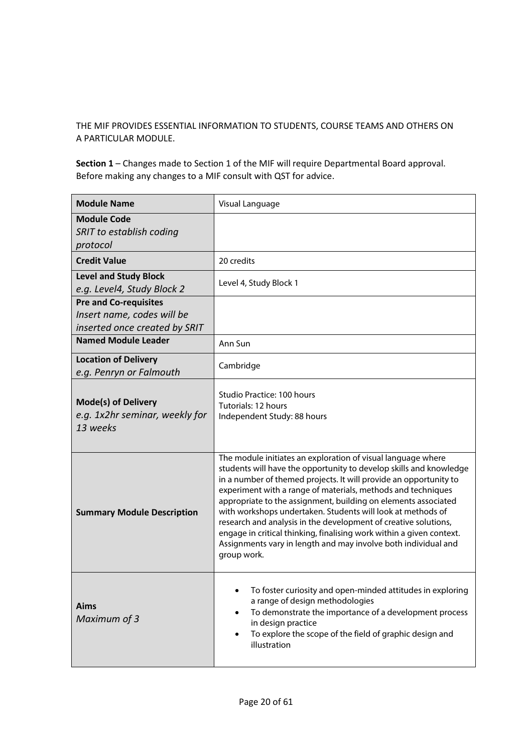THE MIF PROVIDES ESSENTIAL INFORMATION TO STUDENTS, COURSE TEAMS AND OTHERS ON A PARTICULAR MODULE.

| <b>Module Name</b>                                                                          | Visual Language                                                                                                                                                                                                                                                                                                                                                                                                                                                                                                                                                                                                                      |
|---------------------------------------------------------------------------------------------|--------------------------------------------------------------------------------------------------------------------------------------------------------------------------------------------------------------------------------------------------------------------------------------------------------------------------------------------------------------------------------------------------------------------------------------------------------------------------------------------------------------------------------------------------------------------------------------------------------------------------------------|
| <b>Module Code</b><br>SRIT to establish coding<br>protocol                                  |                                                                                                                                                                                                                                                                                                                                                                                                                                                                                                                                                                                                                                      |
| <b>Credit Value</b>                                                                         | 20 credits                                                                                                                                                                                                                                                                                                                                                                                                                                                                                                                                                                                                                           |
| <b>Level and Study Block</b><br>e.g. Level4, Study Block 2                                  | Level 4, Study Block 1                                                                                                                                                                                                                                                                                                                                                                                                                                                                                                                                                                                                               |
| <b>Pre and Co-requisites</b><br>Insert name, codes will be<br>inserted once created by SRIT |                                                                                                                                                                                                                                                                                                                                                                                                                                                                                                                                                                                                                                      |
| <b>Named Module Leader</b>                                                                  | Ann Sun                                                                                                                                                                                                                                                                                                                                                                                                                                                                                                                                                                                                                              |
| <b>Location of Delivery</b><br>e.g. Penryn or Falmouth                                      | Cambridge                                                                                                                                                                                                                                                                                                                                                                                                                                                                                                                                                                                                                            |
| <b>Mode(s) of Delivery</b><br>e.g. 1x2hr seminar, weekly for<br>13 weeks                    | Studio Practice: 100 hours<br>Tutorials: 12 hours<br>Independent Study: 88 hours                                                                                                                                                                                                                                                                                                                                                                                                                                                                                                                                                     |
| <b>Summary Module Description</b>                                                           | The module initiates an exploration of visual language where<br>students will have the opportunity to develop skills and knowledge<br>in a number of themed projects. It will provide an opportunity to<br>experiment with a range of materials, methods and techniques<br>appropriate to the assignment, building on elements associated<br>with workshops undertaken. Students will look at methods of<br>research and analysis in the development of creative solutions,<br>engage in critical thinking, finalising work within a given context.<br>Assignments vary in length and may involve both individual and<br>group work. |
| <b>Aims</b><br>Maximum of 3                                                                 | To foster curiosity and open-minded attitudes in exploring<br>a range of design methodologies<br>To demonstrate the importance of a development process<br>$\bullet$<br>in design practice<br>To explore the scope of the field of graphic design and<br>٠<br>illustration                                                                                                                                                                                                                                                                                                                                                           |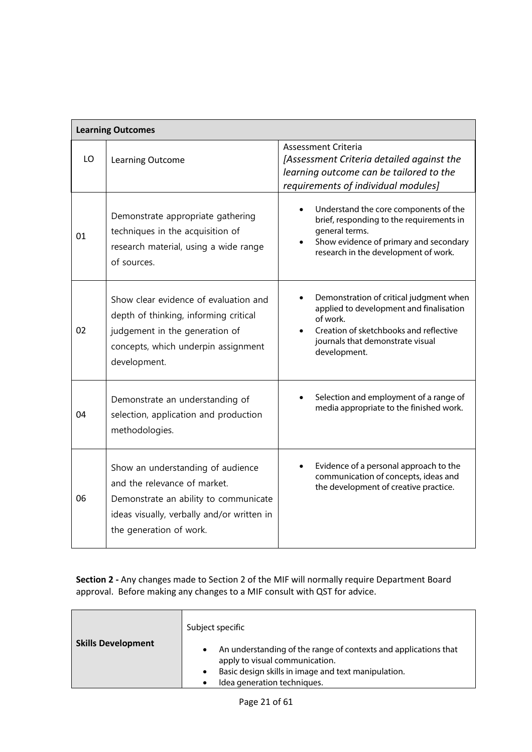|    | <b>Learning Outcomes</b>                                                                                                                                                            |                                                                                                                                                                                              |
|----|-------------------------------------------------------------------------------------------------------------------------------------------------------------------------------------|----------------------------------------------------------------------------------------------------------------------------------------------------------------------------------------------|
| LO | Learning Outcome                                                                                                                                                                    | Assessment Criteria<br>[Assessment Criteria detailed against the<br>learning outcome can be tailored to the<br>requirements of individual modules]                                           |
| 01 | Demonstrate appropriate gathering<br>techniques in the acquisition of<br>research material, using a wide range<br>of sources.                                                       | Understand the core components of the<br>brief, responding to the requirements in<br>general terms.<br>Show evidence of primary and secondary<br>research in the development of work.        |
| 02 | Show clear evidence of evaluation and<br>depth of thinking, informing critical<br>judgement in the generation of<br>concepts, which underpin assignment<br>development.             | Demonstration of critical judgment when<br>applied to development and finalisation<br>of work.<br>Creation of sketchbooks and reflective<br>journals that demonstrate visual<br>development. |
| 04 | Demonstrate an understanding of<br>selection, application and production<br>methodologies.                                                                                          | Selection and employment of a range of<br>media appropriate to the finished work.                                                                                                            |
| 06 | Show an understanding of audience<br>and the relevance of market.<br>Demonstrate an ability to communicate<br>ideas visually, verbally and/or written in<br>the generation of work. | Evidence of a personal approach to the<br>communication of concepts, ideas and<br>the development of creative practice.                                                                      |

| <b>Skills Development</b> | Subject specific<br>An understanding of the range of contexts and applications that<br>٠                                                       |
|---------------------------|------------------------------------------------------------------------------------------------------------------------------------------------|
|                           | apply to visual communication.<br>Basic design skills in image and text manipulation.<br>$\bullet$<br>Idea generation techniques.<br>$\bullet$ |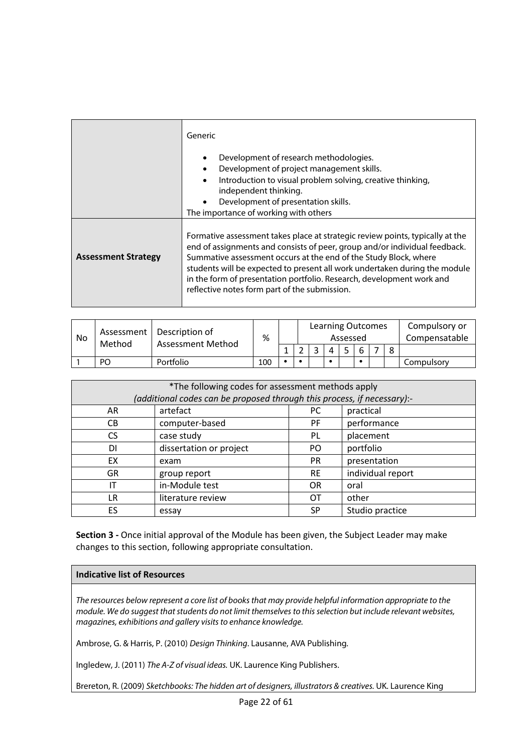|                            | Generic<br>Development of research methodologies.<br>$\bullet$<br>Development of project management skills.<br>Introduction to visual problem solving, creative thinking,<br>$\bullet$<br>independent thinking.<br>Development of presentation skills.<br>The importance of working with others                                                                                                                                         |
|----------------------------|-----------------------------------------------------------------------------------------------------------------------------------------------------------------------------------------------------------------------------------------------------------------------------------------------------------------------------------------------------------------------------------------------------------------------------------------|
| <b>Assessment Strategy</b> | Formative assessment takes place at strategic review points, typically at the<br>end of assignments and consists of peer, group and/or individual feedback.<br>Summative assessment occurs at the end of the Study Block, where<br>students will be expected to present all work undertaken during the module<br>in the form of presentation portfolio. Research, development work and<br>reflective notes form part of the submission. |

| No | Method | Assessment   Description of<br>Assessment Method | %   |  | <b>Learning Outcomes</b> | Assessed |  |   | Compulsory or<br>Compensatable |
|----|--------|--------------------------------------------------|-----|--|--------------------------|----------|--|---|--------------------------------|
|    |        |                                                  |     |  |                          |          |  | Ω |                                |
|    | PO     | Portfolio                                        | 100 |  |                          |          |  |   | Compulsory                     |

| *The following codes for assessment methods apply<br>(additional codes can be proposed through this process, if necessary):- |                         |           |                   |  |  |  |
|------------------------------------------------------------------------------------------------------------------------------|-------------------------|-----------|-------------------|--|--|--|
|                                                                                                                              |                         |           |                   |  |  |  |
| AR                                                                                                                           | artefact                | PC.       | practical         |  |  |  |
| CВ                                                                                                                           | computer-based          | PF.       | performance       |  |  |  |
| CS.                                                                                                                          | case study              | PL.       | placement         |  |  |  |
| DI                                                                                                                           | dissertation or project | PO        | portfolio         |  |  |  |
| <b>EX</b>                                                                                                                    | exam                    | <b>PR</b> | presentation      |  |  |  |
| <b>GR</b>                                                                                                                    | group report            | <b>RE</b> | individual report |  |  |  |
| IT                                                                                                                           | in-Module test          | <b>OR</b> | oral              |  |  |  |
| LR                                                                                                                           | literature review       | OТ        | other             |  |  |  |
| ES                                                                                                                           | essay                   | SP        | Studio practice   |  |  |  |

### **Indicative list of Resources**

*The resources below represent a core list of books that may provide helpful information appropriate to the module. We do suggest that students do not limit themselves to this selection but include relevant websites, magazines, exhibitions and gallery visits to enhance knowledge.*

Ambrose, G. & Harris, P. (2010) *Design Thinking*. Lausanne, AVA Publishing.

Ingledew, J. (2011) *The A-Z of visual ideas.* UK. Laurence King Publishers.

Brereton, R. (2009) *Sketchbooks: The hidden art of designers, illustrators & creatives.* UK. Laurence King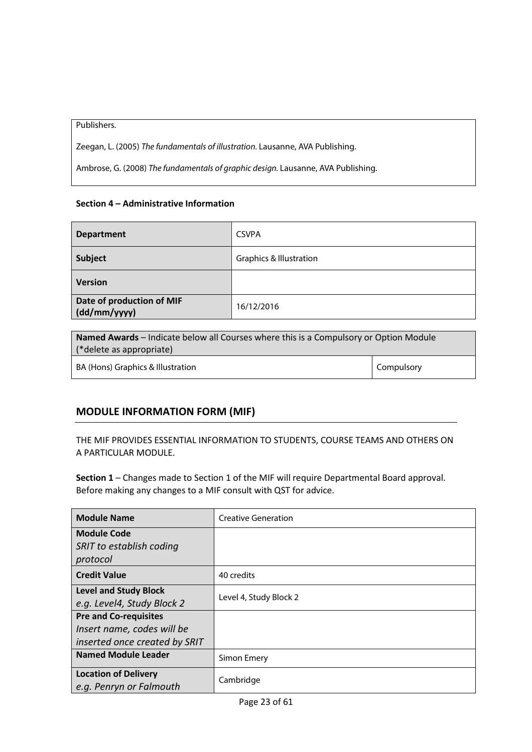Publishers.

Zeegan, L. (2005) *The fundamentals of illustration.* Lausanne, AVA Publishing.

Ambrose, G. (2008) *The fundamentals of graphic design.* Lausanne, AVA Publishing.

### **Section 4 – Administrative Information**

| <b>Department</b>                         | <b>CSVPA</b>                       |
|-------------------------------------------|------------------------------------|
| <b>Subject</b>                            | <b>Graphics &amp; Illustration</b> |
| <b>Version</b>                            |                                    |
| Date of production of MIF<br>(dd/mm/yyyy) | 16/12/2016                         |

| Named Awards - Indicate below all Courses where this is a Compulsory or Option Module<br>(*delete as appropriate) |  |  |
|-------------------------------------------------------------------------------------------------------------------|--|--|
| <b>Compulsory</b><br>BA (Hons) Graphics & Illustration                                                            |  |  |

### **MODULE INFORMATION FORM (MIF)**

THE MIF PROVIDES ESSENTIAL INFORMATION TO STUDENTS, COURSE TEAMS AND OTHERS ON A PARTICULAR MODULE.

| <b>Module Name</b>            | <b>Creative Generation</b> |  |  |
|-------------------------------|----------------------------|--|--|
| <b>Module Code</b>            |                            |  |  |
| SRIT to establish coding      |                            |  |  |
| protocol                      |                            |  |  |
| <b>Credit Value</b>           | 40 credits                 |  |  |
| <b>Level and Study Block</b>  | Level 4, Study Block 2     |  |  |
| e.g. Level4, Study Block 2    |                            |  |  |
| <b>Pre and Co-requisites</b>  |                            |  |  |
| Insert name, codes will be    |                            |  |  |
| inserted once created by SRIT |                            |  |  |
| <b>Named Module Leader</b>    | Simon Emery                |  |  |
| <b>Location of Delivery</b>   | Cambridge                  |  |  |
| e.g. Penryn or Falmouth       |                            |  |  |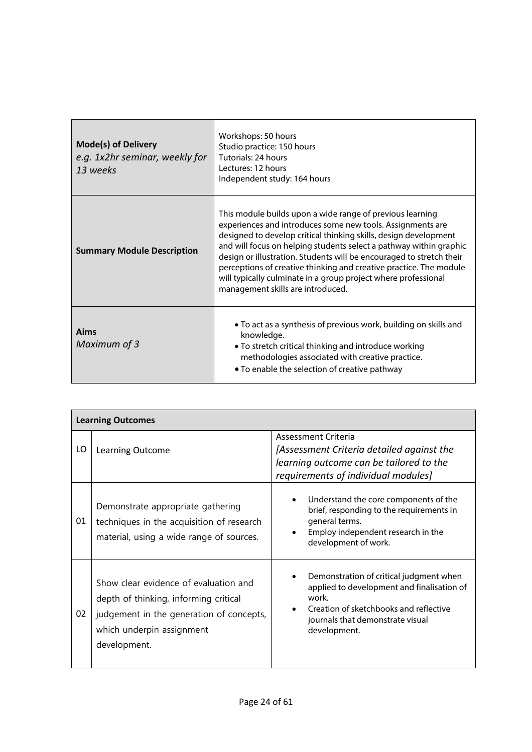| <b>Mode(s) of Delivery</b><br>e.g. 1x2hr seminar, weekly for<br>13 weeks | Workshops: 50 hours<br>Studio practice: 150 hours<br>Tutorials: 24 hours<br>Lectures: 12 hours<br>Independent study: 164 hours                                                                                                                                                                                                                                                                                                                                                                                         |
|--------------------------------------------------------------------------|------------------------------------------------------------------------------------------------------------------------------------------------------------------------------------------------------------------------------------------------------------------------------------------------------------------------------------------------------------------------------------------------------------------------------------------------------------------------------------------------------------------------|
| <b>Summary Module Description</b>                                        | This module builds upon a wide range of previous learning<br>experiences and introduces some new tools. Assignments are<br>designed to develop critical thinking skills, design development<br>and will focus on helping students select a pathway within graphic<br>design or illustration. Students will be encouraged to stretch their<br>perceptions of creative thinking and creative practice. The module<br>will typically culminate in a group project where professional<br>management skills are introduced. |
| Aims<br>Maximum of 3                                                     | • To act as a synthesis of previous work, building on skills and<br>knowledge.<br>• To stretch critical thinking and introduce working<br>methodologies associated with creative practice.<br>• To enable the selection of creative pathway                                                                                                                                                                                                                                                                            |

|    | <b>Learning Outcomes</b>                                                                                                                                                |                                                                                                                                                                                              |
|----|-------------------------------------------------------------------------------------------------------------------------------------------------------------------------|----------------------------------------------------------------------------------------------------------------------------------------------------------------------------------------------|
| LO | Learning Outcome                                                                                                                                                        | Assessment Criteria<br>[Assessment Criteria detailed against the<br>learning outcome can be tailored to the<br>requirements of individual modules]                                           |
| 01 | Demonstrate appropriate gathering<br>techniques in the acquisition of research<br>material, using a wide range of sources.                                              | Understand the core components of the<br>brief, responding to the requirements in<br>general terms.<br>Employ independent research in the<br>development of work.                            |
| 02 | Show clear evidence of evaluation and<br>depth of thinking, informing critical<br>judgement in the generation of concepts,<br>which underpin assignment<br>development. | Demonstration of critical judgment when<br>applied to development and finalisation of<br>work.<br>Creation of sketchbooks and reflective<br>journals that demonstrate visual<br>development. |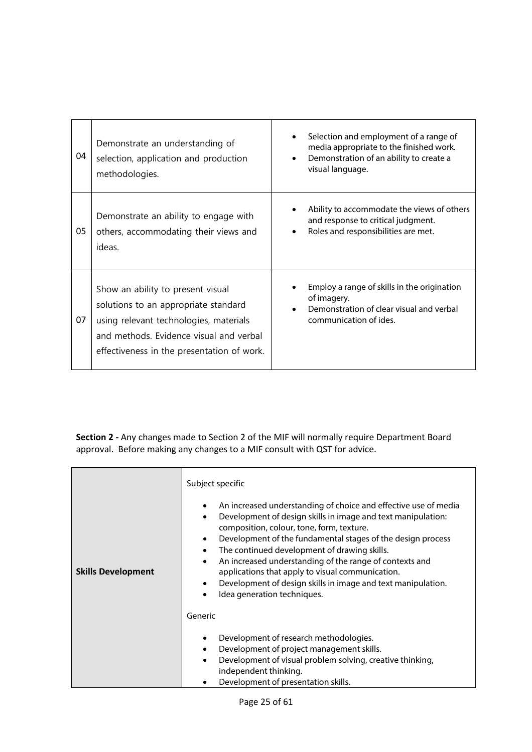| 04 | Demonstrate an understanding of<br>selection, application and production<br>methodologies.                                                                                                                   | Selection and employment of a range of<br>media appropriate to the finished work.<br>Demonstration of an ability to create a<br>visual language. |
|----|--------------------------------------------------------------------------------------------------------------------------------------------------------------------------------------------------------------|--------------------------------------------------------------------------------------------------------------------------------------------------|
| 05 | Demonstrate an ability to engage with<br>others, accommodating their views and<br>ideas.                                                                                                                     | Ability to accommodate the views of others<br>and response to critical judgment.<br>Roles and responsibilities are met.                          |
| 07 | Show an ability to present visual<br>solutions to an appropriate standard<br>using relevant technologies, materials<br>and methods. Evidence visual and verbal<br>effectiveness in the presentation of work. | Employ a range of skills in the origination<br>of imagery.<br>Demonstration of clear visual and verbal<br>communication of ides.                 |

| <b>Skills Development</b> | Subject specific<br>An increased understanding of choice and effective use of media<br>$\bullet$<br>Development of design skills in image and text manipulation:<br>$\bullet$<br>composition, colour, tone, form, texture.<br>Development of the fundamental stages of the design process<br>$\bullet$<br>The continued development of drawing skills.<br>$\bullet$<br>An increased understanding of the range of contexts and<br>$\bullet$<br>applications that apply to visual communication.<br>Development of design skills in image and text manipulation.<br>$\bullet$<br>Idea generation techniques. |
|---------------------------|-------------------------------------------------------------------------------------------------------------------------------------------------------------------------------------------------------------------------------------------------------------------------------------------------------------------------------------------------------------------------------------------------------------------------------------------------------------------------------------------------------------------------------------------------------------------------------------------------------------|
|                           | Generic                                                                                                                                                                                                                                                                                                                                                                                                                                                                                                                                                                                                     |
|                           | Development of research methodologies.<br>$\bullet$<br>Development of project management skills.<br>٠<br>Development of visual problem solving, creative thinking,<br>$\bullet$<br>independent thinking.<br>Development of presentation skills.                                                                                                                                                                                                                                                                                                                                                             |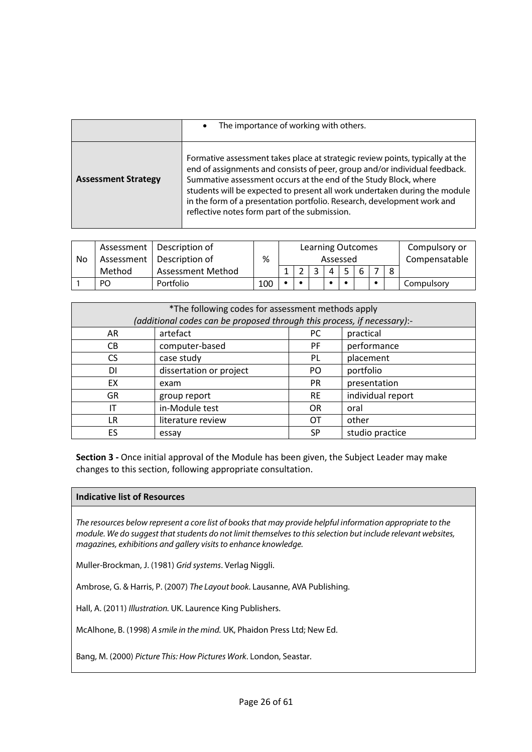|                            | The importance of working with others.<br>$\bullet$                                                                                                                                                                                                                                                                                                                                                                                       |
|----------------------------|-------------------------------------------------------------------------------------------------------------------------------------------------------------------------------------------------------------------------------------------------------------------------------------------------------------------------------------------------------------------------------------------------------------------------------------------|
| <b>Assessment Strategy</b> | Formative assessment takes place at strategic review points, typically at the<br>end of assignments and consists of peer, group and/or individual feedback.<br>Summative assessment occurs at the end of the Study Block, where<br>students will be expected to present all work undertaken during the module<br>in the form of a presentation portfolio. Research, development work and<br>reflective notes form part of the submission. |

|    |        | Assessment   Description of |     |  |  | <b>Learning Outcomes</b> |  | Compulsory or |
|----|--------|-----------------------------|-----|--|--|--------------------------|--|---------------|
| No |        | Assessment   Description of | %   |  |  | Assessed                 |  | Compensatable |
|    | Method | <b>Assessment Method</b>    |     |  |  |                          |  |               |
|    | PO     | Portfolio                   | 100 |  |  |                          |  | Compulsory    |

| *The following codes for assessment methods apply<br>(additional codes can be proposed through this process, if necessary):- |                              |           |                   |  |  |  |
|------------------------------------------------------------------------------------------------------------------------------|------------------------------|-----------|-------------------|--|--|--|
| AR                                                                                                                           | artefact<br>practical<br>PC. |           |                   |  |  |  |
| CВ                                                                                                                           | computer-based               | PF.       | performance       |  |  |  |
| CS.                                                                                                                          | case study                   | PL        | placement         |  |  |  |
| DI.                                                                                                                          | dissertation or project      | PO.       | portfolio         |  |  |  |
| <b>EX</b>                                                                                                                    | exam                         | <b>PR</b> | presentation      |  |  |  |
| <b>GR</b>                                                                                                                    | group report                 | <b>RE</b> | individual report |  |  |  |
| IT                                                                                                                           | in-Module test               | <b>OR</b> | oral              |  |  |  |
| LR                                                                                                                           | literature review            | ОT        | other             |  |  |  |
| ES.                                                                                                                          | essay                        | <b>SP</b> | studio practice   |  |  |  |

### **Indicative list of Resources**

*The resources below represent a core list of books that may provide helpful information appropriate to the module. We do suggest that students do not limit themselves to this selection but include relevant websites, magazines, exhibitions and gallery visits to enhance knowledge.*

Muller-Brockman, J. (1981) *Grid systems*. Verlag Niggli.

Ambrose, G. & Harris, P. (2007) *The Layout book*. Lausanne, AVA Publishing.

Hall, A. (2011) *Illustration.* UK. Laurence King Publishers.

McAlhone, B. (1998) *A smile in the mind.* UK, Phaidon Press Ltd; New Ed.

Bang, M. (2000) *Picture This: How Pictures Work*. London, Seastar.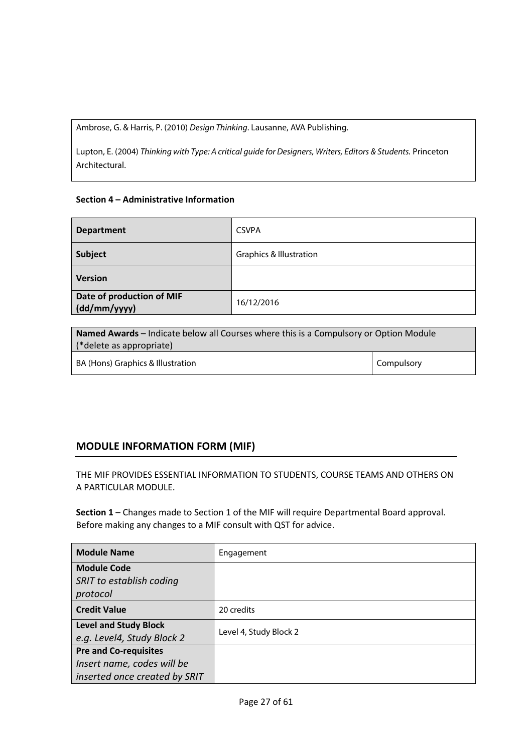Ambrose, G. & Harris, P. (2010) *Design Thinking*. Lausanne, AVA Publishing.

Lupton, E. (2004) *Thinking with Type: A critical guide for Designers, Writers, Editors & Students.* Princeton Architectural.

### **Section 4 – Administrative Information**

| <b>Department</b>                         | <b>CSVPA</b>                       |
|-------------------------------------------|------------------------------------|
| Subject                                   | <b>Graphics &amp; Illustration</b> |
| <b>Version</b>                            |                                    |
| Date of production of MIF<br>(dd/mm/yyyy) | 16/12/2016                         |

| <b>Named Awards</b> – Indicate below all Courses where this is a Compulsory or Option Module<br>(*delete as appropriate) |                   |  |  |
|--------------------------------------------------------------------------------------------------------------------------|-------------------|--|--|
| BA (Hons) Graphics & Illustration                                                                                        | <b>Compulsory</b> |  |  |

### **MODULE INFORMATION FORM (MIF)**

THE MIF PROVIDES ESSENTIAL INFORMATION TO STUDENTS, COURSE TEAMS AND OTHERS ON A PARTICULAR MODULE.

| <b>Module Name</b>                                         | Engagement             |
|------------------------------------------------------------|------------------------|
| <b>Module Code</b><br>SRIT to establish coding<br>protocol |                        |
| <b>Credit Value</b>                                        | 20 credits             |
| <b>Level and Study Block</b><br>e.g. Level4, Study Block 2 | Level 4, Study Block 2 |
| <b>Pre and Co-requisites</b>                               |                        |
| Insert name, codes will be                                 |                        |
| inserted once created by SRIT                              |                        |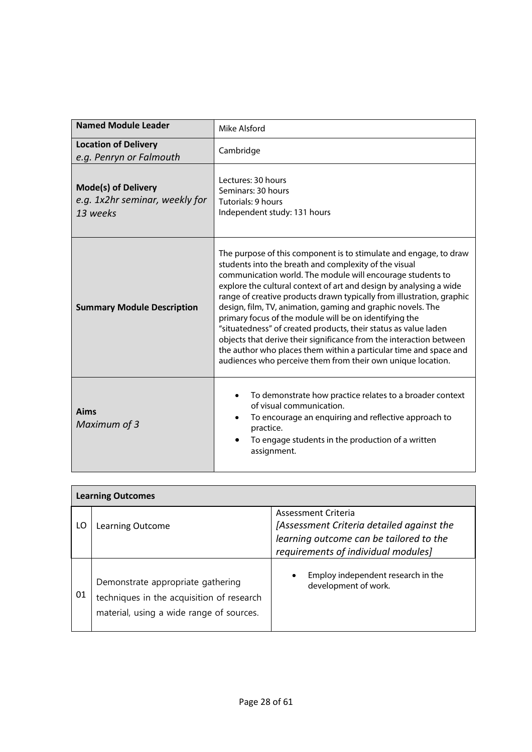| <b>Named Module Leader</b>                                               | Mike Alsford                                                                                                                                                                                                                                                                                                                                                                                                                                                                                                                                                                                                                                                                                                                                   |  |  |  |  |  |
|--------------------------------------------------------------------------|------------------------------------------------------------------------------------------------------------------------------------------------------------------------------------------------------------------------------------------------------------------------------------------------------------------------------------------------------------------------------------------------------------------------------------------------------------------------------------------------------------------------------------------------------------------------------------------------------------------------------------------------------------------------------------------------------------------------------------------------|--|--|--|--|--|
| <b>Location of Delivery</b><br>e.g. Penryn or Falmouth                   | Cambridge                                                                                                                                                                                                                                                                                                                                                                                                                                                                                                                                                                                                                                                                                                                                      |  |  |  |  |  |
| <b>Mode(s) of Delivery</b><br>e.g. 1x2hr seminar, weekly for<br>13 weeks | Lectures: 30 hours<br>Seminars: 30 hours<br>Tutorials: 9 hours<br>Independent study: 131 hours                                                                                                                                                                                                                                                                                                                                                                                                                                                                                                                                                                                                                                                 |  |  |  |  |  |
| <b>Summary Module Description</b>                                        | The purpose of this component is to stimulate and engage, to draw<br>students into the breath and complexity of the visual<br>communication world. The module will encourage students to<br>explore the cultural context of art and design by analysing a wide<br>range of creative products drawn typically from illustration, graphic<br>design, film, TV, animation, gaming and graphic novels. The<br>primary focus of the module will be on identifying the<br>"situatedness" of created products, their status as value laden<br>objects that derive their significance from the interaction between<br>the author who places them within a particular time and space and<br>audiences who perceive them from their own unique location. |  |  |  |  |  |
| <b>Aims</b><br>Maximum of 3                                              | To demonstrate how practice relates to a broader context<br>of visual communication.<br>To encourage an enquiring and reflective approach to<br>practice.<br>To engage students in the production of a written<br>assignment.                                                                                                                                                                                                                                                                                                                                                                                                                                                                                                                  |  |  |  |  |  |

|    | <b>Learning Outcomes</b>                                                                                                   |                                                                                                                                                    |  |  |  |  |
|----|----------------------------------------------------------------------------------------------------------------------------|----------------------------------------------------------------------------------------------------------------------------------------------------|--|--|--|--|
| LO | Learning Outcome                                                                                                           | Assessment Criteria<br>[Assessment Criteria detailed against the<br>learning outcome can be tailored to the<br>requirements of individual modules] |  |  |  |  |
| 01 | Demonstrate appropriate gathering<br>techniques in the acquisition of research<br>material, using a wide range of sources. | Employ independent research in the<br>development of work.                                                                                         |  |  |  |  |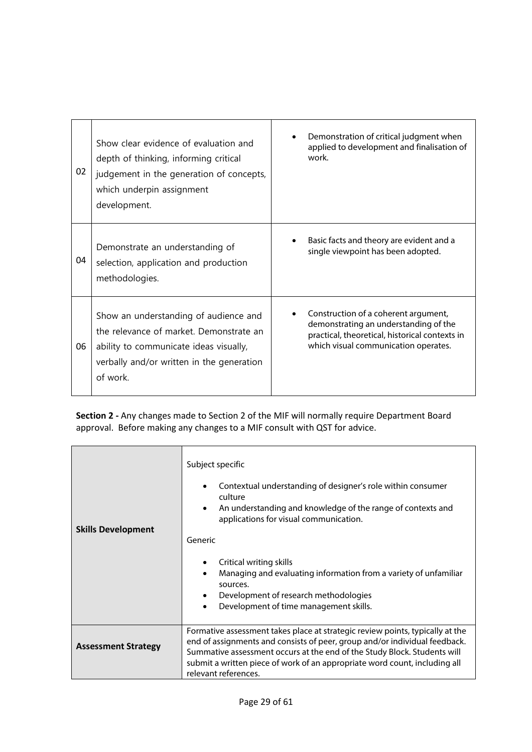| 02 | Show clear evidence of evaluation and<br>depth of thinking, informing critical<br>judgement in the generation of concepts,<br>which underpin assignment<br>development.             | Demonstration of critical judgment when<br>applied to development and finalisation of<br>work.                                                                          |
|----|-------------------------------------------------------------------------------------------------------------------------------------------------------------------------------------|-------------------------------------------------------------------------------------------------------------------------------------------------------------------------|
| 04 | Demonstrate an understanding of<br>selection, application and production<br>methodologies.                                                                                          | Basic facts and theory are evident and a<br>single viewpoint has been adopted.                                                                                          |
| 06 | Show an understanding of audience and<br>the relevance of market. Demonstrate an<br>ability to communicate ideas visually,<br>verbally and/or written in the generation<br>of work. | Construction of a coherent argument,<br>demonstrating an understanding of the<br>practical, theoretical, historical contexts in<br>which visual communication operates. |

| <b>Skills Development</b>  | Subject specific<br>Contextual understanding of designer's role within consumer<br>$\bullet$<br>culture<br>An understanding and knowledge of the range of contexts and<br>$\bullet$<br>applications for visual communication.<br>Generic<br>Critical writing skills<br>Managing and evaluating information from a variety of unfamiliar<br>sources.<br>Development of research methodologies<br>$\bullet$<br>Development of time management skills.<br>$\bullet$ |
|----------------------------|------------------------------------------------------------------------------------------------------------------------------------------------------------------------------------------------------------------------------------------------------------------------------------------------------------------------------------------------------------------------------------------------------------------------------------------------------------------|
| <b>Assessment Strategy</b> | Formative assessment takes place at strategic review points, typically at the<br>end of assignments and consists of peer, group and/or individual feedback.<br>Summative assessment occurs at the end of the Study Block. Students will<br>submit a written piece of work of an appropriate word count, including all<br>relevant references.                                                                                                                    |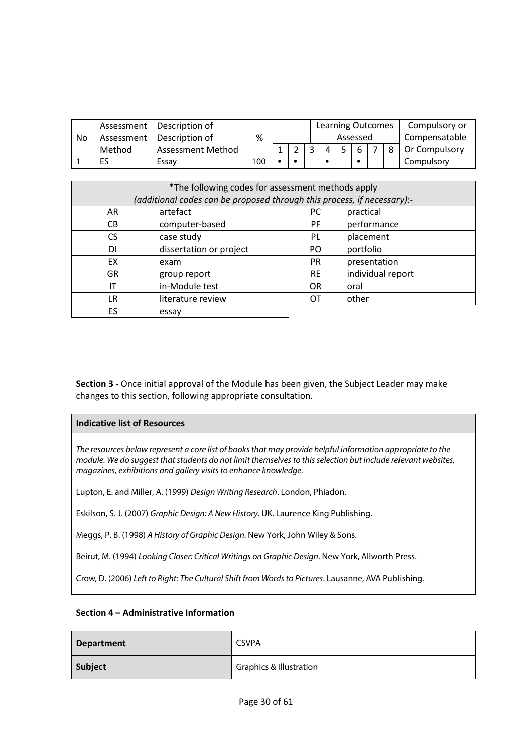|    |        | Assessment   Description of |     |  | <b>Learning Outcomes</b> |          |  | Compulsory or |
|----|--------|-----------------------------|-----|--|--------------------------|----------|--|---------------|
| No |        | Assessment   Description of | ℅   |  |                          | Assessed |  | Compensatable |
|    | Method | Assessment Method           |     |  |                          |          |  | Or Compulsory |
|    | ES     | Essav                       | 100 |  |                          |          |  | Compulsory    |

| *The following codes for assessment methods apply<br>(additional codes can be proposed through this process, if necessary):- |                         |           |                   |  |  |
|------------------------------------------------------------------------------------------------------------------------------|-------------------------|-----------|-------------------|--|--|
| AR                                                                                                                           | artefact                | PC.       | practical         |  |  |
| CВ                                                                                                                           | computer-based          | PF.       | performance       |  |  |
| CS.                                                                                                                          | case study              | PL        | placement         |  |  |
| DI                                                                                                                           | dissertation or project | PO.       | portfolio         |  |  |
| EX                                                                                                                           | exam                    | <b>PR</b> | presentation      |  |  |
| GR.                                                                                                                          | group report            | <b>RE</b> | individual report |  |  |
| ΙT                                                                                                                           | in-Module test          | <b>OR</b> | oral              |  |  |
| LR                                                                                                                           | literature review       | OТ        | other             |  |  |
| ES                                                                                                                           | essay                   |           |                   |  |  |

### **Indicative list of Resources**

*The resources below represent a core list of books that may provide helpful information appropriate to the module. We do suggest that students do not limit themselves to this selection but include relevant websites, magazines, exhibitions and gallery visits to enhance knowledge.*

Lupton, E. and Miller, A. (1999) *Design Writing Research*. London, Phiadon.

Eskilson, S. J. (2007) *Graphic Design: A New History*. UK. Laurence King Publishing.

Meggs, P. B. (1998) *A History of Graphic Design.* New York, John Wiley & Sons.

Beirut, M. (1994) *Looking Closer: Critical Writings on Graphic Design*. New York, Allworth Press.

Crow, D. (2006) *Left to Right: The Cultural Shift from Words to Pictures*. Lausanne, AVA Publishing.

### **Section 4 – Administrative Information**

| <b>Department</b> | <b>CSVPA</b>                       |
|-------------------|------------------------------------|
| Subject           | <b>Graphics &amp; Illustration</b> |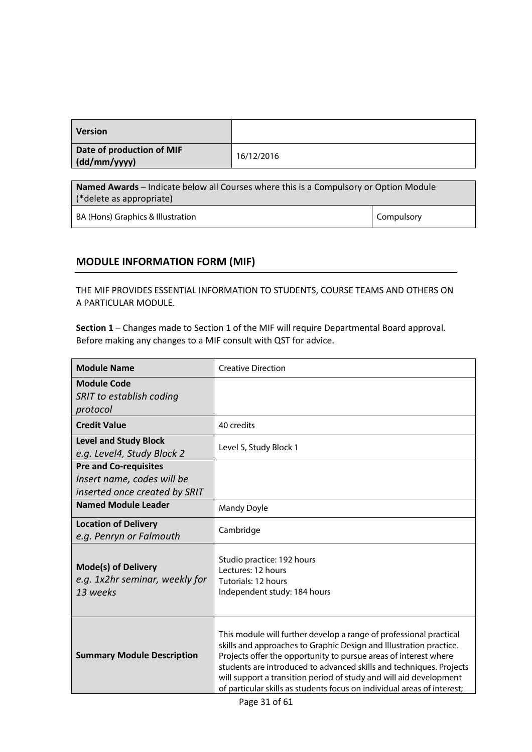| <b>Version</b>                            |            |
|-------------------------------------------|------------|
| Date of production of MIF<br>(dd/mm/yyyy) | 16/12/2016 |

**Named Awards** – Indicate below all Courses where this is a Compulsory or Option Module (\*delete as appropriate)

BA (Hons) Graphics & Illustration Compulsory Compulsory

### **MODULE INFORMATION FORM (MIF)**

THE MIF PROVIDES ESSENTIAL INFORMATION TO STUDENTS, COURSE TEAMS AND OTHERS ON A PARTICULAR MODULE.

| <b>Module Name</b>                                                                          | <b>Creative Direction</b>                                                                                                                                                                                                                                                                                                                                                                                                            |  |  |
|---------------------------------------------------------------------------------------------|--------------------------------------------------------------------------------------------------------------------------------------------------------------------------------------------------------------------------------------------------------------------------------------------------------------------------------------------------------------------------------------------------------------------------------------|--|--|
| <b>Module Code</b><br>SRIT to establish coding<br>protocol                                  |                                                                                                                                                                                                                                                                                                                                                                                                                                      |  |  |
| <b>Credit Value</b>                                                                         | 40 credits                                                                                                                                                                                                                                                                                                                                                                                                                           |  |  |
| <b>Level and Study Block</b><br>e.g. Level4, Study Block 2                                  | Level 5, Study Block 1                                                                                                                                                                                                                                                                                                                                                                                                               |  |  |
| <b>Pre and Co-requisites</b><br>Insert name, codes will be<br>inserted once created by SRIT |                                                                                                                                                                                                                                                                                                                                                                                                                                      |  |  |
| <b>Named Module Leader</b>                                                                  | <b>Mandy Doyle</b>                                                                                                                                                                                                                                                                                                                                                                                                                   |  |  |
| <b>Location of Delivery</b><br>e.g. Penryn or Falmouth                                      | Cambridge                                                                                                                                                                                                                                                                                                                                                                                                                            |  |  |
| <b>Mode(s) of Delivery</b><br>e.g. 1x2hr seminar, weekly for<br>13 weeks                    | Studio practice: 192 hours<br>Lectures: 12 hours<br>Tutorials: 12 hours<br>Independent study: 184 hours                                                                                                                                                                                                                                                                                                                              |  |  |
| <b>Summary Module Description</b>                                                           | This module will further develop a range of professional practical<br>skills and approaches to Graphic Design and Illustration practice.<br>Projects offer the opportunity to pursue areas of interest where<br>students are introduced to advanced skills and techniques. Projects<br>will support a transition period of study and will aid development<br>of particular skills as students focus on individual areas of interest; |  |  |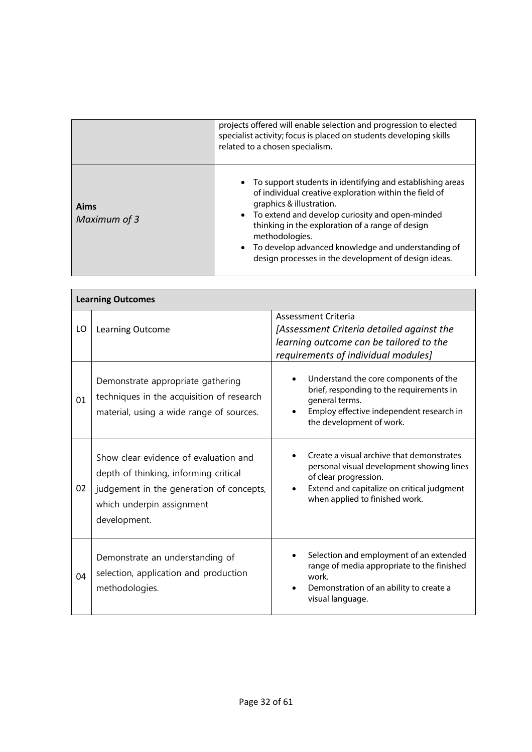|                      | projects offered will enable selection and progression to elected<br>specialist activity; focus is placed on students developing skills<br>related to a chosen specialism.                                                                                                                                                                                                                   |
|----------------------|----------------------------------------------------------------------------------------------------------------------------------------------------------------------------------------------------------------------------------------------------------------------------------------------------------------------------------------------------------------------------------------------|
| Aims<br>Maximum of 3 | • To support students in identifying and establishing areas<br>of individual creative exploration within the field of<br>graphics & illustration.<br>• To extend and develop curiosity and open-minded<br>thinking in the exploration of a range of design<br>methodologies.<br>• To develop advanced knowledge and understanding of<br>design processes in the development of design ideas. |

|    | <b>Learning Outcomes</b>                                                                                                                                                |                                                                                                                                                                                                 |
|----|-------------------------------------------------------------------------------------------------------------------------------------------------------------------------|-------------------------------------------------------------------------------------------------------------------------------------------------------------------------------------------------|
| LO | Learning Outcome                                                                                                                                                        | <b>Assessment Criteria</b><br>[Assessment Criteria detailed against the<br>learning outcome can be tailored to the<br>requirements of individual modules]                                       |
| 01 | Demonstrate appropriate gathering<br>techniques in the acquisition of research<br>material, using a wide range of sources.                                              | Understand the core components of the<br>brief, responding to the requirements in<br>general terms.<br>Employ effective independent research in<br>the development of work.                     |
| 02 | Show clear evidence of evaluation and<br>depth of thinking, informing critical<br>judgement in the generation of concepts,<br>which underpin assignment<br>development. | Create a visual archive that demonstrates<br>personal visual development showing lines<br>of clear progression.<br>Extend and capitalize on critical judgment<br>when applied to finished work. |
| 04 | Demonstrate an understanding of<br>selection, application and production<br>methodologies.                                                                              | Selection and employment of an extended<br>range of media appropriate to the finished<br>work.<br>Demonstration of an ability to create a<br>visual language.                                   |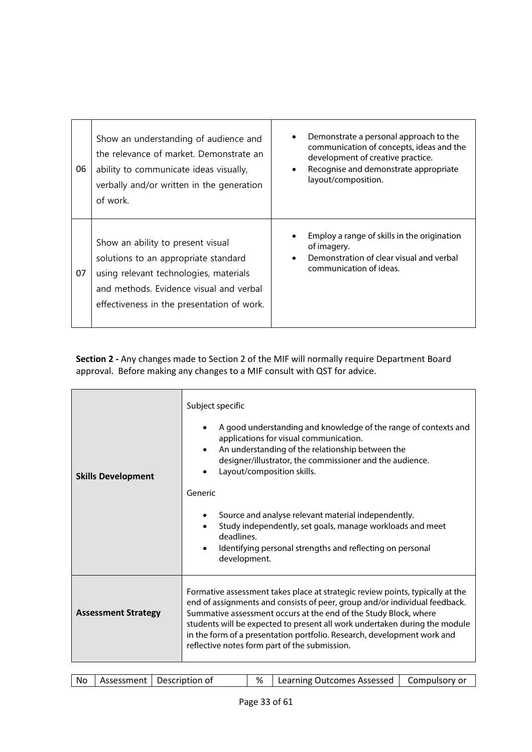| 06 | Show an understanding of audience and<br>the relevance of market. Demonstrate an<br>ability to communicate ideas visually,<br>verbally and/or written in the generation<br>of work.                          | Demonstrate a personal approach to the<br>communication of concepts, ideas and the<br>development of creative practice.<br>Recognise and demonstrate appropriate<br>layout/composition. |
|----|--------------------------------------------------------------------------------------------------------------------------------------------------------------------------------------------------------------|-----------------------------------------------------------------------------------------------------------------------------------------------------------------------------------------|
| 07 | Show an ability to present visual<br>solutions to an appropriate standard<br>using relevant technologies, materials<br>and methods. Evidence visual and verbal<br>effectiveness in the presentation of work. | Employ a range of skills in the origination<br>of imagery.<br>Demonstration of clear visual and verbal<br>communication of ideas.                                                       |

| <b>Skills Development</b>  | Subject specific<br>A good understanding and knowledge of the range of contexts and<br>applications for visual communication.<br>An understanding of the relationship between the<br>designer/illustrator, the commissioner and the audience.<br>Layout/composition skills.<br>Generic<br>Source and analyse relevant material independently.<br>٠<br>Study independently, set goals, manage workloads and meet<br>deadlines.<br>Identifying personal strengths and reflecting on personal<br>development. |
|----------------------------|------------------------------------------------------------------------------------------------------------------------------------------------------------------------------------------------------------------------------------------------------------------------------------------------------------------------------------------------------------------------------------------------------------------------------------------------------------------------------------------------------------|
| <b>Assessment Strategy</b> | Formative assessment takes place at strategic review points, typically at the<br>end of assignments and consists of peer, group and/or individual feedback.<br>Summative assessment occurs at the end of the Study Block, where<br>students will be expected to present all work undertaken during the module<br>in the form of a presentation portfolio. Research, development work and<br>reflective notes form part of the submission.                                                                  |

| %   Learning Outcomes Assessed   Compulsory or<br><b>No</b><br>Assessment   Description of |
|--------------------------------------------------------------------------------------------|
|--------------------------------------------------------------------------------------------|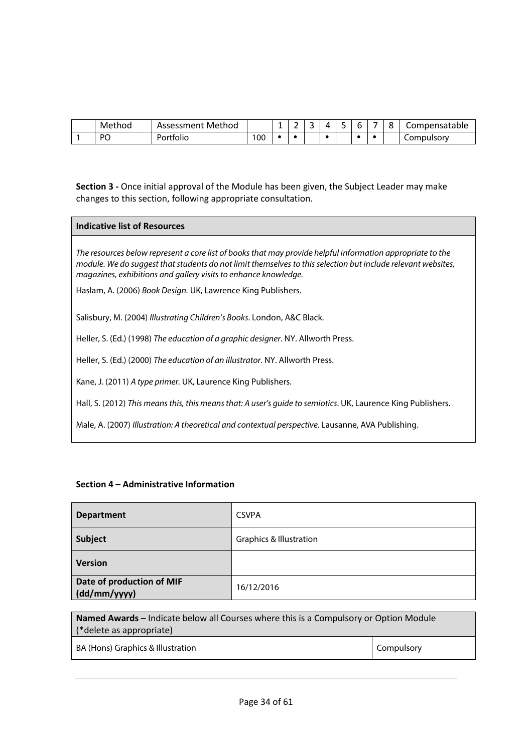| Method         | Method<br>Assessment |     | <br>-<br>- | $\prime$ | ۰ | - | -<br>∼ | Compensatable |
|----------------|----------------------|-----|------------|----------|---|---|--------|---------------|
| P <sub>O</sub> | ortfolio'            | 100 |            |          |   |   |        | Compulsory    |

### **Indicative list of Resources**

*The resources below represent a core list of books that may provide helpful information appropriate to the module. We do suggest that students do not limit themselves to this selection but include relevant websites, magazines, exhibitions and gallery visits to enhance knowledge.*

Haslam, A. (2006) *Book Design.* UK, Lawrence King Publishers.

Salisbury, M. (2004) *Illustrating Children's Books*. London, A&C Black.

Heller, S. (Ed.) (1998) *The education of a graphic designer*. NY. Allworth Press.

Heller, S. (Ed.) (2000) *The education of an illustrator*. NY. Allworth Press.

Kane, J. (2011) *A type primer.* UK, Laurence King Publishers.

Hall, S. (2012) *This means this, this means that: A user's guide to semiotics*. UK, Laurence King Publishers.

Male, A. (2007) *Illustration: A theoretical and contextual perspective.* Lausanne, AVA Publishing.

### **Section 4 – Administrative Information**

| <b>Department</b>                         | <b>CSVPA</b>                       |
|-------------------------------------------|------------------------------------|
| Subject                                   | <b>Graphics &amp; Illustration</b> |
| <b>Version</b>                            |                                    |
| Date of production of MIF<br>(dd/mm/yyyy) | 16/12/2016                         |

**Named Awards** – Indicate below all Courses where this is a Compulsory or Option Module (\*delete as appropriate)

BA (Hons) Graphics & Illustration Compulsory Compulsory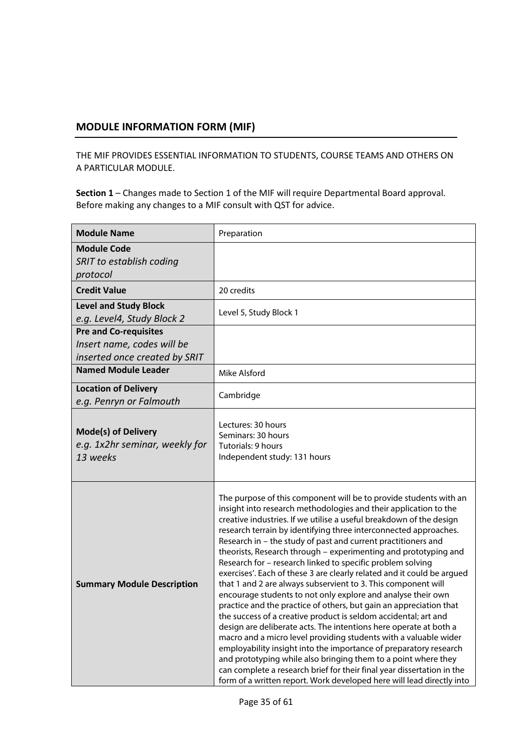### **MODULE INFORMATION FORM (MIF)**

THE MIF PROVIDES ESSENTIAL INFORMATION TO STUDENTS, COURSE TEAMS AND OTHERS ON A PARTICULAR MODULE.

| <b>Module Name</b>                                                                          | Preparation                                                                                                                                                                                                                                                                                                                                                                                                                                                                                                                                                                                                                                                                                                                                                                                                                                                                                                                                                                                                                                                                                                                                                                                                                                                               |
|---------------------------------------------------------------------------------------------|---------------------------------------------------------------------------------------------------------------------------------------------------------------------------------------------------------------------------------------------------------------------------------------------------------------------------------------------------------------------------------------------------------------------------------------------------------------------------------------------------------------------------------------------------------------------------------------------------------------------------------------------------------------------------------------------------------------------------------------------------------------------------------------------------------------------------------------------------------------------------------------------------------------------------------------------------------------------------------------------------------------------------------------------------------------------------------------------------------------------------------------------------------------------------------------------------------------------------------------------------------------------------|
| <b>Module Code</b><br>SRIT to establish coding<br>protocol                                  |                                                                                                                                                                                                                                                                                                                                                                                                                                                                                                                                                                                                                                                                                                                                                                                                                                                                                                                                                                                                                                                                                                                                                                                                                                                                           |
| <b>Credit Value</b>                                                                         | 20 credits                                                                                                                                                                                                                                                                                                                                                                                                                                                                                                                                                                                                                                                                                                                                                                                                                                                                                                                                                                                                                                                                                                                                                                                                                                                                |
| <b>Level and Study Block</b><br>e.g. Level4, Study Block 2                                  | Level 5, Study Block 1                                                                                                                                                                                                                                                                                                                                                                                                                                                                                                                                                                                                                                                                                                                                                                                                                                                                                                                                                                                                                                                                                                                                                                                                                                                    |
| <b>Pre and Co-requisites</b><br>Insert name, codes will be<br>inserted once created by SRIT |                                                                                                                                                                                                                                                                                                                                                                                                                                                                                                                                                                                                                                                                                                                                                                                                                                                                                                                                                                                                                                                                                                                                                                                                                                                                           |
| <b>Named Module Leader</b>                                                                  | Mike Alsford                                                                                                                                                                                                                                                                                                                                                                                                                                                                                                                                                                                                                                                                                                                                                                                                                                                                                                                                                                                                                                                                                                                                                                                                                                                              |
| <b>Location of Delivery</b><br>e.g. Penryn or Falmouth                                      | Cambridge                                                                                                                                                                                                                                                                                                                                                                                                                                                                                                                                                                                                                                                                                                                                                                                                                                                                                                                                                                                                                                                                                                                                                                                                                                                                 |
| <b>Mode(s) of Delivery</b><br>e.g. 1x2hr seminar, weekly for<br>13 weeks                    | Lectures: 30 hours<br>Seminars: 30 hours<br>Tutorials: 9 hours<br>Independent study: 131 hours                                                                                                                                                                                                                                                                                                                                                                                                                                                                                                                                                                                                                                                                                                                                                                                                                                                                                                                                                                                                                                                                                                                                                                            |
| <b>Summary Module Description</b>                                                           | The purpose of this component will be to provide students with an<br>insight into research methodologies and their application to the<br>creative industries. If we utilise a useful breakdown of the design<br>research terrain by identifying three interconnected approaches.<br>Research in - the study of past and current practitioners and<br>theorists, Research through - experimenting and prototyping and<br>Research for - research linked to specific problem solving<br>exercises'. Each of these 3 are clearly related and it could be argued<br>that 1 and 2 are always subservient to 3. This component will<br>encourage students to not only explore and analyse their own<br>practice and the practice of others, but gain an appreciation that<br>the success of a creative product is seldom accidental; art and<br>design are deliberate acts. The intentions here operate at both a<br>macro and a micro level providing students with a valuable wider<br>employability insight into the importance of preparatory research<br>and prototyping while also bringing them to a point where they<br>can complete a research brief for their final year dissertation in the<br>form of a written report. Work developed here will lead directly into |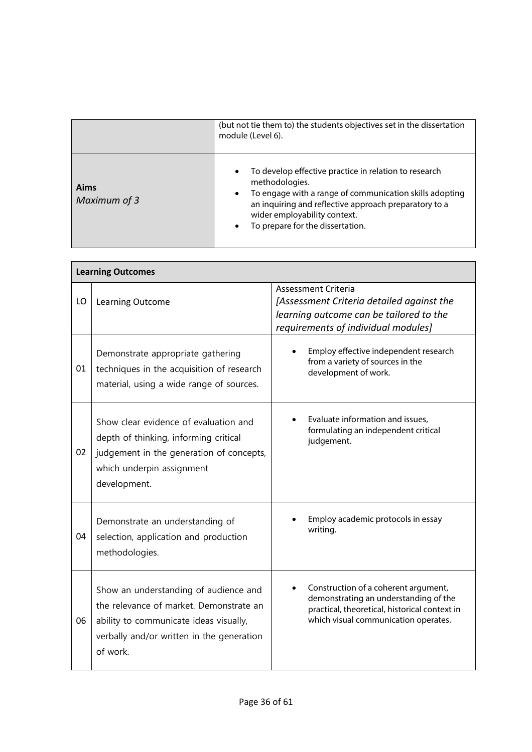|                      | (but not tie them to) the students objectives set in the dissertation<br>module (Level 6).                                                                                                                                                                                                             |
|----------------------|--------------------------------------------------------------------------------------------------------------------------------------------------------------------------------------------------------------------------------------------------------------------------------------------------------|
| Aims<br>Maximum of 3 | To develop effective practice in relation to research<br>$\bullet$<br>methodologies.<br>To engage with a range of communication skills adopting<br>$\bullet$<br>an inquiring and reflective approach preparatory to a<br>wider employability context.<br>To prepare for the dissertation.<br>$\bullet$ |

|    | <b>Learning Outcomes</b>                                                                                                                                                            |                                                                                                                                                                        |  |  |  |  |  |  |
|----|-------------------------------------------------------------------------------------------------------------------------------------------------------------------------------------|------------------------------------------------------------------------------------------------------------------------------------------------------------------------|--|--|--|--|--|--|
| LO | Learning Outcome                                                                                                                                                                    | <b>Assessment Criteria</b><br>[Assessment Criteria detailed against the<br>learning outcome can be tailored to the<br>requirements of individual modules]              |  |  |  |  |  |  |
| 01 | Demonstrate appropriate gathering<br>techniques in the acquisition of research<br>material, using a wide range of sources.                                                          | Employ effective independent research<br>from a variety of sources in the<br>development of work.                                                                      |  |  |  |  |  |  |
| 02 | Show clear evidence of evaluation and<br>depth of thinking, informing critical<br>judgement in the generation of concepts,<br>which underpin assignment<br>development.             | Evaluate information and issues,<br>formulating an independent critical<br>judgement.                                                                                  |  |  |  |  |  |  |
| 04 | Demonstrate an understanding of<br>selection, application and production<br>methodologies.                                                                                          | Employ academic protocols in essay<br>writing.                                                                                                                         |  |  |  |  |  |  |
| 06 | Show an understanding of audience and<br>the relevance of market. Demonstrate an<br>ability to communicate ideas visually,<br>verbally and/or written in the generation<br>of work. | Construction of a coherent argument,<br>demonstrating an understanding of the<br>practical, theoretical, historical context in<br>which visual communication operates. |  |  |  |  |  |  |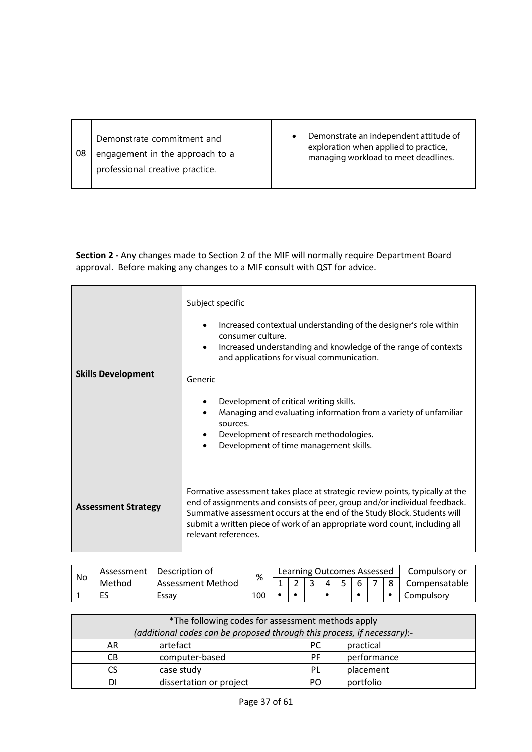| 08 | Demonstrate commitment and<br>engagement in the approach to a<br>professional creative practice. | Demonstrate an independent attitude of<br>exploration when applied to practice,<br>managing workload to meet deadlines. |
|----|--------------------------------------------------------------------------------------------------|-------------------------------------------------------------------------------------------------------------------------|
|----|--------------------------------------------------------------------------------------------------|-------------------------------------------------------------------------------------------------------------------------|

| <b>Skills Development</b>  | Subject specific<br>Increased contextual understanding of the designer's role within<br>$\bullet$<br>consumer culture.<br>Increased understanding and knowledge of the range of contexts<br>and applications for visual communication.<br>Generic<br>Development of critical writing skills.<br>٠<br>Managing and evaluating information from a variety of unfamiliar<br>٠<br>sources.<br>Development of research methodologies.<br>Development of time management skills. |
|----------------------------|----------------------------------------------------------------------------------------------------------------------------------------------------------------------------------------------------------------------------------------------------------------------------------------------------------------------------------------------------------------------------------------------------------------------------------------------------------------------------|
| <b>Assessment Strategy</b> | Formative assessment takes place at strategic review points, typically at the<br>end of assignments and consists of peer, group and/or individual feedback.<br>Summative assessment occurs at the end of the Study Block. Students will<br>submit a written piece of work of an appropriate word count, including all<br>relevant references.                                                                                                                              |

| No | Assessment | Description of    | %   | Learning Outcomes Assessed |  |   |  |  |  |  | Compulsory or |               |
|----|------------|-------------------|-----|----------------------------|--|---|--|--|--|--|---------------|---------------|
|    | Method     | Assessment Method |     |                            |  | ـ |  |  |  |  |               | Compensatable |
|    | ES         | Essay             | 100 |                            |  |   |  |  |  |  |               | Compulsory    |

| *The following codes for assessment methods apply                       |                         |     |             |  |
|-------------------------------------------------------------------------|-------------------------|-----|-------------|--|
| (additional codes can be proposed through this process, if necessary):- |                         |     |             |  |
| AR                                                                      | artefact                | PC. | practical   |  |
| CВ                                                                      | computer-based          | PF. | performance |  |
|                                                                         | case study              | PL  | placement   |  |
|                                                                         | dissertation or project | PΩ  | portfolio   |  |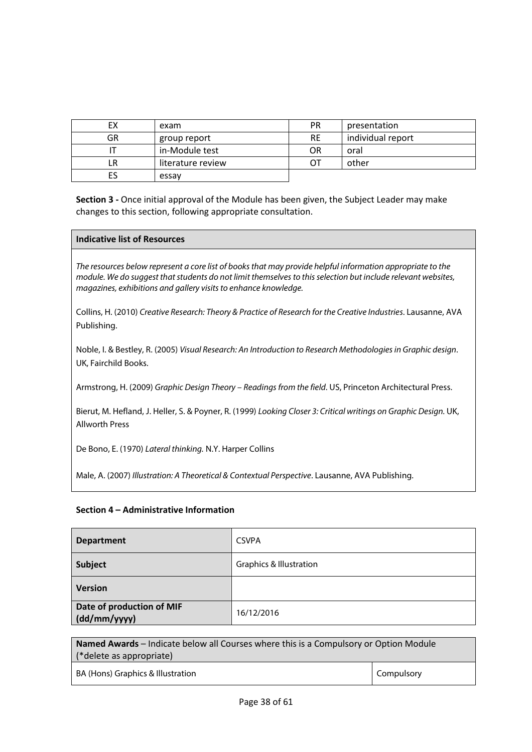| EХ | exam              | <b>PR</b> | presentation      |
|----|-------------------|-----------|-------------------|
| GR | group report      | <b>RE</b> | individual report |
|    | in-Module test    | OR        | oral              |
| LR | literature review | OΤ        | other             |
| ES | essay             |           |                   |

### **Indicative list of Resources**

*The resources below represent a core list of books that may provide helpful information appropriate to the module. We do suggest that students do not limit themselves to this selection but include relevant websites, magazines, exhibitions and gallery visits to enhance knowledge.*

Collins, H. (2010) *Creative Research: Theory & Practice of Research for the Creative Industries*. Lausanne, AVA Publishing.

Noble, I. & Bestley, R. (2005) *Visual Research: An Introduction to Research Methodologies in Graphic design*. UK, Fairchild Books.

Armstrong, H. (2009) *Graphic Design Theory – Readings from the field*. US, Princeton Architectural Press.

Bierut, M. Hefland, J. Heller, S. & Poyner, R. (1999) *Looking Closer 3: Critical writings on Graphic Design.* UK, Allworth Press

De Bono, E. (1970) *Lateral thinking.* N.Y. Harper Collins

Male, A. (2007) *Illustration: A Theoretical & Contextual Perspective*. Lausanne, AVA Publishing.

### **Section 4 – Administrative Information**

| <b>Department</b>                         | <b>CSVPA</b>                       |
|-------------------------------------------|------------------------------------|
| Subject                                   | <b>Graphics &amp; Illustration</b> |
| Version                                   |                                    |
| Date of production of MIF<br>(dd/mm/yyyy) | 16/12/2016                         |

**Named Awards** – Indicate below all Courses where this is a Compulsory or Option Module (\*delete as appropriate)

BA (Hons) Graphics & Illustration Compulsory Compulsory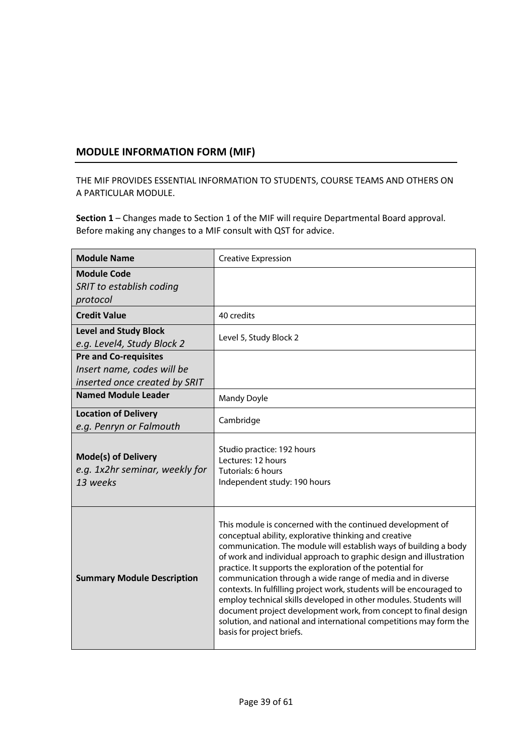### **MODULE INFORMATION FORM (MIF)**

THE MIF PROVIDES ESSENTIAL INFORMATION TO STUDENTS, COURSE TEAMS AND OTHERS ON A PARTICULAR MODULE.

| <b>Module Name</b>                                                                          | <b>Creative Expression</b>                                                                                                                                                                                                                                                                                                                                                                                                                                                                                                                                                                                                                                                                                   |
|---------------------------------------------------------------------------------------------|--------------------------------------------------------------------------------------------------------------------------------------------------------------------------------------------------------------------------------------------------------------------------------------------------------------------------------------------------------------------------------------------------------------------------------------------------------------------------------------------------------------------------------------------------------------------------------------------------------------------------------------------------------------------------------------------------------------|
| <b>Module Code</b><br>SRIT to establish coding<br>protocol                                  |                                                                                                                                                                                                                                                                                                                                                                                                                                                                                                                                                                                                                                                                                                              |
| <b>Credit Value</b>                                                                         | 40 credits                                                                                                                                                                                                                                                                                                                                                                                                                                                                                                                                                                                                                                                                                                   |
| <b>Level and Study Block</b><br>e.g. Level4, Study Block 2                                  | Level 5, Study Block 2                                                                                                                                                                                                                                                                                                                                                                                                                                                                                                                                                                                                                                                                                       |
| <b>Pre and Co-requisites</b><br>Insert name, codes will be<br>inserted once created by SRIT |                                                                                                                                                                                                                                                                                                                                                                                                                                                                                                                                                                                                                                                                                                              |
| <b>Named Module Leader</b>                                                                  | <b>Mandy Doyle</b>                                                                                                                                                                                                                                                                                                                                                                                                                                                                                                                                                                                                                                                                                           |
| <b>Location of Delivery</b><br>e.g. Penryn or Falmouth                                      | Cambridge                                                                                                                                                                                                                                                                                                                                                                                                                                                                                                                                                                                                                                                                                                    |
| <b>Mode(s) of Delivery</b><br>e.g. 1x2hr seminar, weekly for<br>13 weeks                    | Studio practice: 192 hours<br>Lectures: 12 hours<br>Tutorials: 6 hours<br>Independent study: 190 hours                                                                                                                                                                                                                                                                                                                                                                                                                                                                                                                                                                                                       |
| <b>Summary Module Description</b>                                                           | This module is concerned with the continued development of<br>conceptual ability, explorative thinking and creative<br>communication. The module will establish ways of building a body<br>of work and individual approach to graphic design and illustration<br>practice. It supports the exploration of the potential for<br>communication through a wide range of media and in diverse<br>contexts. In fulfilling project work, students will be encouraged to<br>employ technical skills developed in other modules. Students will<br>document project development work, from concept to final design<br>solution, and national and international competitions may form the<br>basis for project briefs. |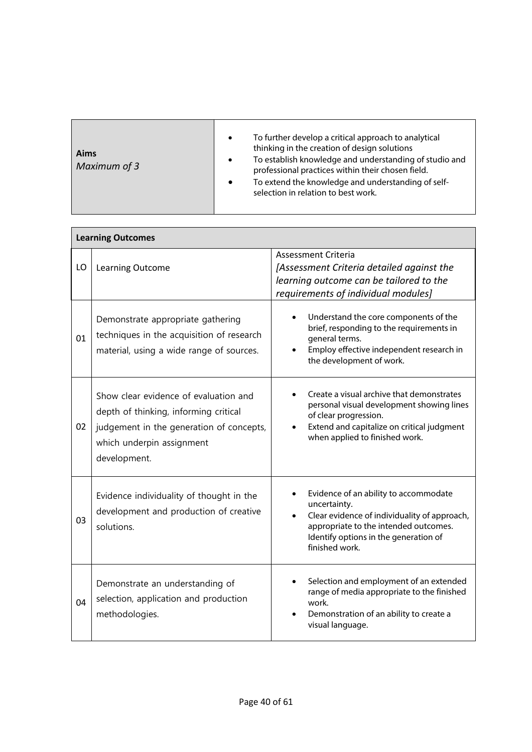| Aims<br>Maximum of 3 | To further develop a critical approach to analytical<br>$\bullet$<br>thinking in the creation of design solutions<br>To establish knowledge and understanding of studio and<br>$\bullet$<br>professional practices within their chosen field.<br>To extend the knowledge and understanding of self-<br>$\bullet$<br>selection in relation to best work. |
|----------------------|---------------------------------------------------------------------------------------------------------------------------------------------------------------------------------------------------------------------------------------------------------------------------------------------------------------------------------------------------------|
|----------------------|---------------------------------------------------------------------------------------------------------------------------------------------------------------------------------------------------------------------------------------------------------------------------------------------------------------------------------------------------------|

|    | <b>Learning Outcomes</b>                                                                                                                                                |                                                                                                                                                                                                           |  |  |  |  |
|----|-------------------------------------------------------------------------------------------------------------------------------------------------------------------------|-----------------------------------------------------------------------------------------------------------------------------------------------------------------------------------------------------------|--|--|--|--|
| LO | <b>Learning Outcome</b>                                                                                                                                                 | <b>Assessment Criteria</b><br>[Assessment Criteria detailed against the<br>learning outcome can be tailored to the<br>requirements of individual modules]                                                 |  |  |  |  |
| 01 | Demonstrate appropriate gathering<br>techniques in the acquisition of research<br>material, using a wide range of sources.                                              | Understand the core components of the<br>brief, responding to the requirements in<br>general terms.<br>Employ effective independent research in<br>the development of work.                               |  |  |  |  |
| 02 | Show clear evidence of evaluation and<br>depth of thinking, informing critical<br>judgement in the generation of concepts,<br>which underpin assignment<br>development. | Create a visual archive that demonstrates<br>personal visual development showing lines<br>of clear progression.<br>Extend and capitalize on critical judgment<br>when applied to finished work.           |  |  |  |  |
| 03 | Evidence individuality of thought in the<br>development and production of creative<br>solutions.                                                                        | Evidence of an ability to accommodate<br>uncertainty.<br>Clear evidence of individuality of approach,<br>appropriate to the intended outcomes.<br>Identify options in the generation of<br>finished work. |  |  |  |  |
| 04 | Demonstrate an understanding of<br>selection, application and production<br>methodologies.                                                                              | Selection and employment of an extended<br>range of media appropriate to the finished<br>work.<br>Demonstration of an ability to create a<br>visual language.                                             |  |  |  |  |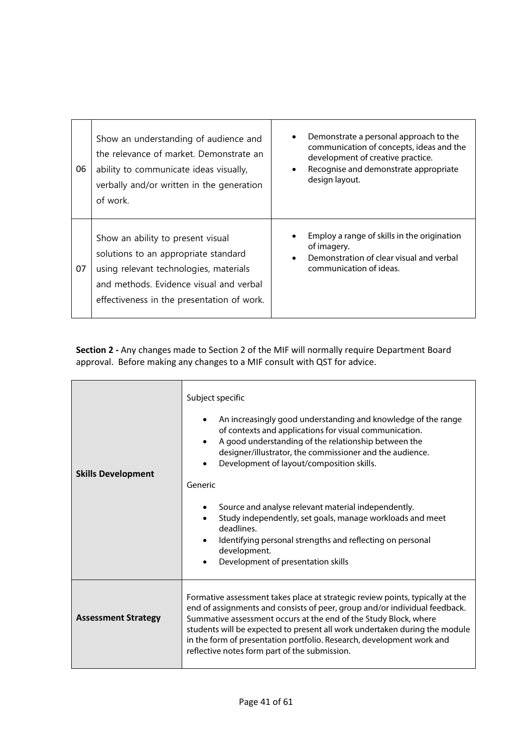| 06 | Show an understanding of audience and<br>the relevance of market. Demonstrate an<br>ability to communicate ideas visually,<br>verbally and/or written in the generation<br>of work.                          | Demonstrate a personal approach to the<br>$\bullet$<br>communication of concepts, ideas and the<br>development of creative practice.<br>Recognise and demonstrate appropriate<br>design layout. |
|----|--------------------------------------------------------------------------------------------------------------------------------------------------------------------------------------------------------------|-------------------------------------------------------------------------------------------------------------------------------------------------------------------------------------------------|
| 07 | Show an ability to present visual<br>solutions to an appropriate standard<br>using relevant technologies, materials<br>and methods. Evidence visual and verbal<br>effectiveness in the presentation of work. | Employ a range of skills in the origination<br>of imagery.<br>Demonstration of clear visual and verbal<br>$\bullet$<br>communication of ideas.                                                  |

| <b>Skills Development</b>  | Subject specific<br>An increasingly good understanding and knowledge of the range<br>$\bullet$<br>of contexts and applications for visual communication.<br>A good understanding of the relationship between the<br>designer/illustrator, the commissioner and the audience.<br>Development of layout/composition skills.<br>Generic<br>Source and analyse relevant material independently.<br>Study independently, set goals, manage workloads and meet<br>deadlines.<br>Identifying personal strengths and reflecting on personal<br>development.<br>Development of presentation skills<br>$\bullet$ |
|----------------------------|--------------------------------------------------------------------------------------------------------------------------------------------------------------------------------------------------------------------------------------------------------------------------------------------------------------------------------------------------------------------------------------------------------------------------------------------------------------------------------------------------------------------------------------------------------------------------------------------------------|
| <b>Assessment Strategy</b> | Formative assessment takes place at strategic review points, typically at the<br>end of assignments and consists of peer, group and/or individual feedback.<br>Summative assessment occurs at the end of the Study Block, where<br>students will be expected to present all work undertaken during the module<br>in the form of presentation portfolio. Research, development work and<br>reflective notes form part of the submission.                                                                                                                                                                |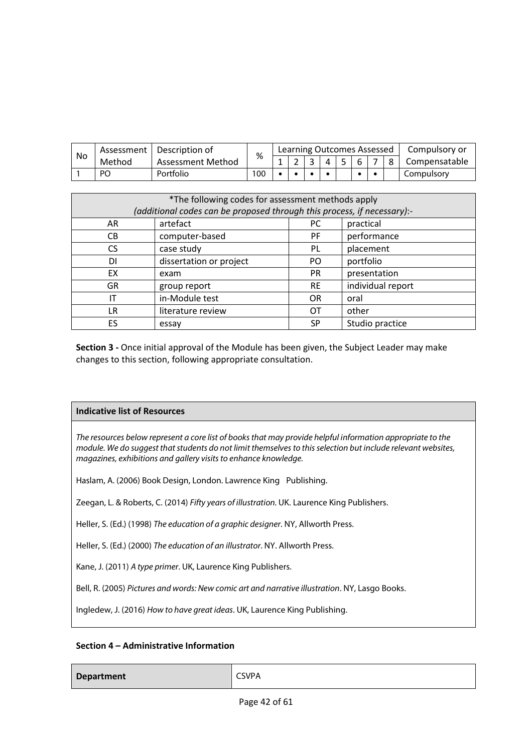| No | Assessment | Description of    | %   |  | Learning Outcomes Assessed |  |  | Compulsory or |
|----|------------|-------------------|-----|--|----------------------------|--|--|---------------|
|    | Method     | Assessment Method |     |  |                            |  |  | Compensatable |
|    | PO         | Portfolio         | 100 |  |                            |  |  | Compulsory    |

| *The following codes for assessment methods apply<br>(additional codes can be proposed through this process, if necessary):- |                         |           |                   |  |  |
|------------------------------------------------------------------------------------------------------------------------------|-------------------------|-----------|-------------------|--|--|
| AR                                                                                                                           | artefact                | PC.       | practical         |  |  |
| CВ                                                                                                                           | computer-based          | PF.       | performance       |  |  |
| CS.                                                                                                                          | case study              | <b>PL</b> | placement         |  |  |
| DΙ                                                                                                                           | dissertation or project | PO.       | portfolio         |  |  |
| EX                                                                                                                           | exam                    | <b>PR</b> | presentation      |  |  |
| GR                                                                                                                           | group report            | <b>RE</b> | individual report |  |  |
| IT                                                                                                                           | in-Module test          | <b>OR</b> | oral              |  |  |
| LR                                                                                                                           | literature review       | ОT        | other             |  |  |
| ES                                                                                                                           | essay                   | SP.       | Studio practice   |  |  |

### **Indicative list of Resources**

*The resources below represent a core list of books that may provide helpful information appropriate to the module. We do suggest that students do not limit themselves to this selection but include relevant websites, magazines, exhibitions and gallery visits to enhance knowledge.*

Haslam, A. (2006) Book Design, London. Lawrence King Publishing.

Zeegan, L. & Roberts, C. (2014) *Fifty years of illustration.* UK. Laurence King Publishers.

Heller, S. (Ed.) (1998) *The education of a graphic designer*. NY, Allworth Press.

Heller, S. (Ed.) (2000) *The education of an illustrator*. NY. Allworth Press.

Kane, J. (2011) *A type primer*. UK, Laurence King Publishers.

Bell, R. (2005) *Pictures and words: New comic art and narrative illustration*. NY, Lasgo Books.

Ingledew, J. (2016) *How to have great ideas*. UK, Laurence King Publishing.

### **Section 4 – Administrative Information**

### **Department** CSVPA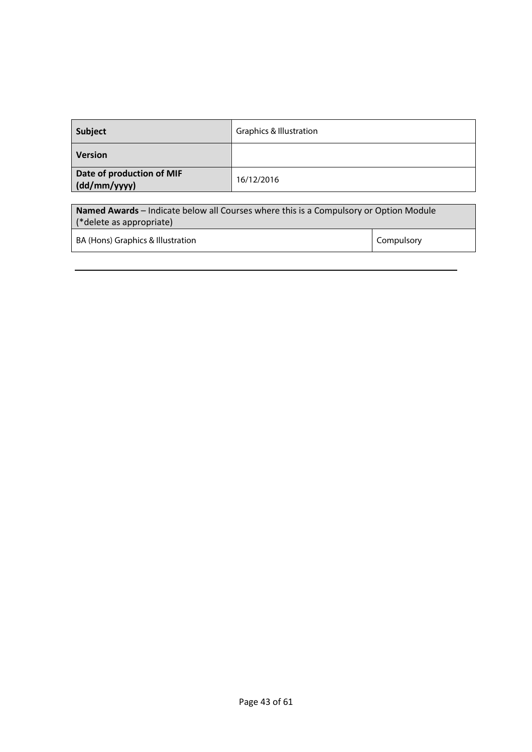| Subject                                   | <b>Graphics &amp; Illustration</b>                                                    |
|-------------------------------------------|---------------------------------------------------------------------------------------|
| <b>Version</b>                            |                                                                                       |
| Date of production of MIF<br>(dd/mm/yyyy) | 16/12/2016                                                                            |
|                                           |                                                                                       |
|                                           | Named Awards - Indicate below all Courses where this is a Compulsory or Option Module |
| (*delete as appropriate)                  |                                                                                       |

BA (Hons) Graphics & Illustration Compulsory Compulsory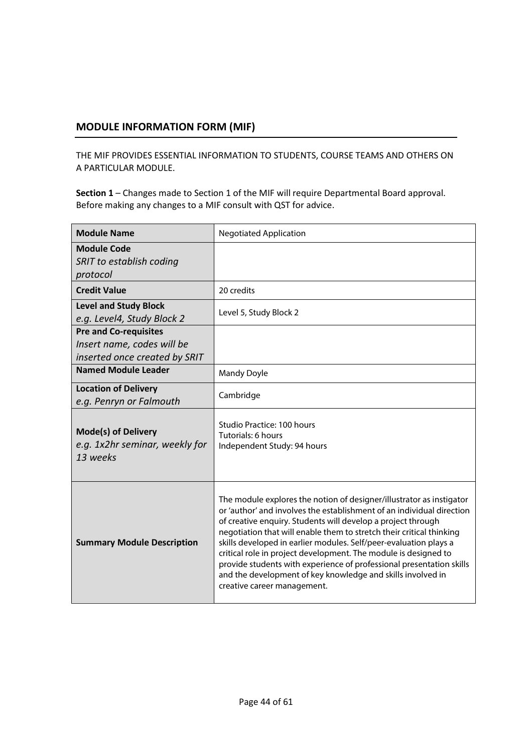### **MODULE INFORMATION FORM (MIF)**

THE MIF PROVIDES ESSENTIAL INFORMATION TO STUDENTS, COURSE TEAMS AND OTHERS ON A PARTICULAR MODULE.

| <b>Module Name</b>                                                                          | <b>Negotiated Application</b>                                                                                                                                                                                                                                                                                                                                                                                                                                                                                                                                                                       |
|---------------------------------------------------------------------------------------------|-----------------------------------------------------------------------------------------------------------------------------------------------------------------------------------------------------------------------------------------------------------------------------------------------------------------------------------------------------------------------------------------------------------------------------------------------------------------------------------------------------------------------------------------------------------------------------------------------------|
| <b>Module Code</b><br>SRIT to establish coding<br>protocol                                  |                                                                                                                                                                                                                                                                                                                                                                                                                                                                                                                                                                                                     |
| <b>Credit Value</b>                                                                         | 20 credits                                                                                                                                                                                                                                                                                                                                                                                                                                                                                                                                                                                          |
| <b>Level and Study Block</b><br>e.g. Level4, Study Block 2                                  | Level 5, Study Block 2                                                                                                                                                                                                                                                                                                                                                                                                                                                                                                                                                                              |
| <b>Pre and Co-requisites</b><br>Insert name, codes will be<br>inserted once created by SRIT |                                                                                                                                                                                                                                                                                                                                                                                                                                                                                                                                                                                                     |
| <b>Named Module Leader</b>                                                                  | <b>Mandy Doyle</b>                                                                                                                                                                                                                                                                                                                                                                                                                                                                                                                                                                                  |
| <b>Location of Delivery</b><br>e.g. Penryn or Falmouth                                      | Cambridge                                                                                                                                                                                                                                                                                                                                                                                                                                                                                                                                                                                           |
| <b>Mode(s) of Delivery</b><br>e.g. 1x2hr seminar, weekly for<br>13 weeks                    | Studio Practice: 100 hours<br>Tutorials: 6 hours<br>Independent Study: 94 hours                                                                                                                                                                                                                                                                                                                                                                                                                                                                                                                     |
| <b>Summary Module Description</b>                                                           | The module explores the notion of designer/illustrator as instigator<br>or 'author' and involves the establishment of an individual direction<br>of creative enquiry. Students will develop a project through<br>negotiation that will enable them to stretch their critical thinking<br>skills developed in earlier modules. Self/peer-evaluation plays a<br>critical role in project development. The module is designed to<br>provide students with experience of professional presentation skills<br>and the development of key knowledge and skills involved in<br>creative career management. |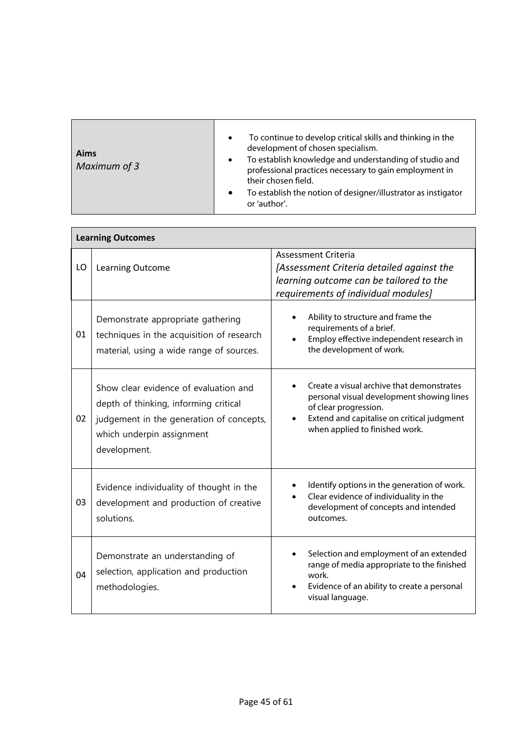| Aims<br>Maximum of 3 | To continue to develop critical skills and thinking in the<br>$\bullet$<br>development of chosen specialism.<br>To establish knowledge and understanding of studio and<br>$\bullet$<br>professional practices necessary to gain employment in<br>their chosen field.<br>To establish the notion of designer/illustrator as instigator<br>$\bullet$<br>or 'author'. |
|----------------------|--------------------------------------------------------------------------------------------------------------------------------------------------------------------------------------------------------------------------------------------------------------------------------------------------------------------------------------------------------------------|

|    | <b>Learning Outcomes</b>                                                                                                                                                |                                                                                                                                                                                                 |  |  |  |
|----|-------------------------------------------------------------------------------------------------------------------------------------------------------------------------|-------------------------------------------------------------------------------------------------------------------------------------------------------------------------------------------------|--|--|--|
| LO | Learning Outcome                                                                                                                                                        | Assessment Criteria<br>[Assessment Criteria detailed against the<br>learning outcome can be tailored to the<br>requirements of individual modules]                                              |  |  |  |
| 01 | Demonstrate appropriate gathering<br>techniques in the acquisition of research<br>material, using a wide range of sources.                                              | Ability to structure and frame the<br>requirements of a brief.<br>Employ effective independent research in<br>the development of work.                                                          |  |  |  |
| 02 | Show clear evidence of evaluation and<br>depth of thinking, informing critical<br>judgement in the generation of concepts,<br>which underpin assignment<br>development. | Create a visual archive that demonstrates<br>personal visual development showing lines<br>of clear progression.<br>Extend and capitalise on critical judgment<br>when applied to finished work. |  |  |  |
| 03 | Evidence individuality of thought in the<br>development and production of creative<br>solutions.                                                                        | Identify options in the generation of work.<br>Clear evidence of individuality in the<br>development of concepts and intended<br>outcomes.                                                      |  |  |  |
| 04 | Demonstrate an understanding of<br>selection, application and production<br>methodologies.                                                                              | Selection and employment of an extended<br>range of media appropriate to the finished<br>work.<br>Evidence of an ability to create a personal<br>visual language.                               |  |  |  |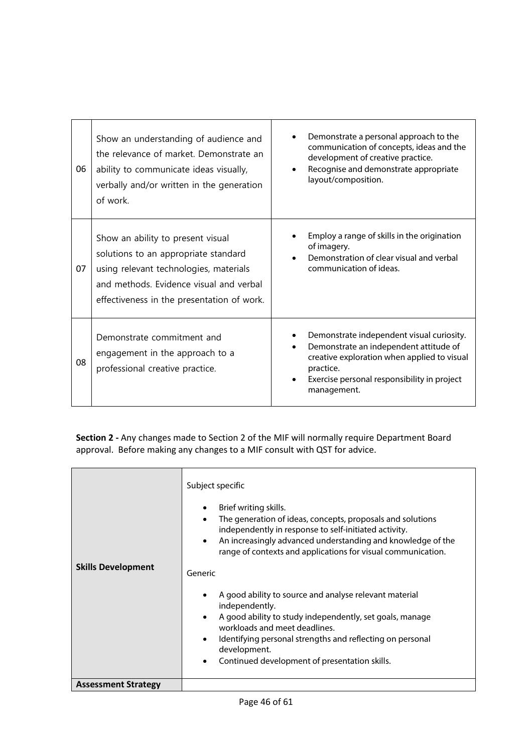| 06 | Show an understanding of audience and<br>the relevance of market. Demonstrate an<br>ability to communicate ideas visually,<br>verbally and/or written in the generation<br>of work.                          | Demonstrate a personal approach to the<br>communication of concepts, ideas and the<br>development of creative practice.<br>Recognise and demonstrate appropriate<br>$\bullet$<br>layout/composition.                                    |
|----|--------------------------------------------------------------------------------------------------------------------------------------------------------------------------------------------------------------|-----------------------------------------------------------------------------------------------------------------------------------------------------------------------------------------------------------------------------------------|
| 07 | Show an ability to present visual<br>solutions to an appropriate standard<br>using relevant technologies, materials<br>and methods. Evidence visual and verbal<br>effectiveness in the presentation of work. | Employ a range of skills in the origination<br>of imagery.<br>Demonstration of clear visual and verbal<br>communication of ideas.                                                                                                       |
| 08 | Demonstrate commitment and<br>engagement in the approach to a<br>professional creative practice.                                                                                                             | Demonstrate independent visual curiosity.<br>Demonstrate an independent attitude of<br>$\bullet$<br>creative exploration when applied to visual<br>practice.<br>Exercise personal responsibility in project<br>$\bullet$<br>management. |

| <b>Skills Development</b>  | Subject specific<br>Brief writing skills.<br>$\bullet$<br>The generation of ideas, concepts, proposals and solutions<br>independently in response to self-initiated activity.<br>An increasingly advanced understanding and knowledge of the<br>$\bullet$<br>range of contexts and applications for visual communication.<br>Generic |  |  |  |  |
|----------------------------|--------------------------------------------------------------------------------------------------------------------------------------------------------------------------------------------------------------------------------------------------------------------------------------------------------------------------------------|--|--|--|--|
|                            |                                                                                                                                                                                                                                                                                                                                      |  |  |  |  |
|                            | A good ability to source and analyse relevant material<br>$\bullet$<br>independently.                                                                                                                                                                                                                                                |  |  |  |  |
|                            | A good ability to study independently, set goals, manage<br>$\bullet$<br>workloads and meet deadlines.                                                                                                                                                                                                                               |  |  |  |  |
|                            | Identifying personal strengths and reflecting on personal<br>$\bullet$<br>development.                                                                                                                                                                                                                                               |  |  |  |  |
|                            | Continued development of presentation skills.<br>$\bullet$                                                                                                                                                                                                                                                                           |  |  |  |  |
| <b>Assessment Strategy</b> |                                                                                                                                                                                                                                                                                                                                      |  |  |  |  |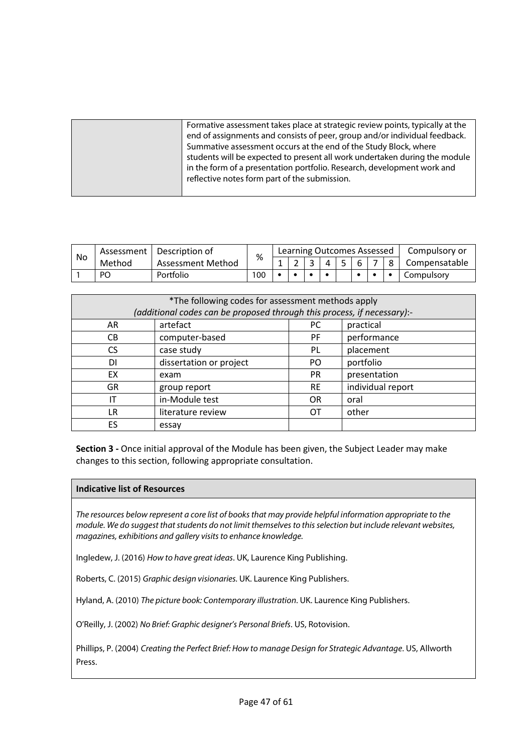| Formative assessment takes place at strategic review points, typically at the<br>end of assignments and consists of peer, group and/or individual feedback.<br>Summative assessment occurs at the end of the Study Block, where<br>students will be expected to present all work undertaken during the module |
|---------------------------------------------------------------------------------------------------------------------------------------------------------------------------------------------------------------------------------------------------------------------------------------------------------------|
| in the form of a presentation portfolio. Research, development work and<br>reflective notes form part of the submission.                                                                                                                                                                                      |

| No | Assessment | Description of    | %   |  |   | Learning Outcomes Assessed |  | Compulsory or |
|----|------------|-------------------|-----|--|---|----------------------------|--|---------------|
|    | Method     | Assessment Method |     |  | Δ |                            |  | Compensatable |
|    | PO         | Portfolio         | 100 |  |   |                            |  | Compulsory    |

| *The following codes for assessment methods apply<br>(additional codes can be proposed through this process, if necessary):- |                              |           |                   |  |  |  |
|------------------------------------------------------------------------------------------------------------------------------|------------------------------|-----------|-------------------|--|--|--|
| AR                                                                                                                           | artefact<br>practical<br>PC. |           |                   |  |  |  |
| CВ                                                                                                                           | computer-based               | PF.       | performance       |  |  |  |
| CS.                                                                                                                          | case study                   | PL.       | placement         |  |  |  |
| DI                                                                                                                           | dissertation or project      | PO.       | portfolio         |  |  |  |
| EX                                                                                                                           | exam                         | <b>PR</b> | presentation      |  |  |  |
| <b>GR</b>                                                                                                                    | group report                 | <b>RE</b> | individual report |  |  |  |
| IT                                                                                                                           | in-Module test               | <b>OR</b> | oral              |  |  |  |
| LR.                                                                                                                          | literature review            | OТ        | other             |  |  |  |
| ES                                                                                                                           | essay                        |           |                   |  |  |  |

### **Indicative list of Resources**

*The resources below represent a core list of books that may provide helpful information appropriate to the module. We do suggest that students do not limit themselves to this selection but include relevant websites, magazines, exhibitions and gallery visits to enhance knowledge.*

Ingledew, J. (2016) *How to have great ideas*. UK, Laurence King Publishing.

Roberts, C. (2015) *Graphic design visionaries.* UK. Laurence King Publishers.

Hyland, A. (2010) *The picture book: Contemporary illustration*. UK. Laurence King Publishers.

O'Reilly, J. (2002) *No Brief: Graphic designer's Personal Briefs*. US, Rotovision.

Phillips, P. (2004) *Creating the Perfect Brief: How to manage Design for Strategic Advantage*. US, Allworth Press.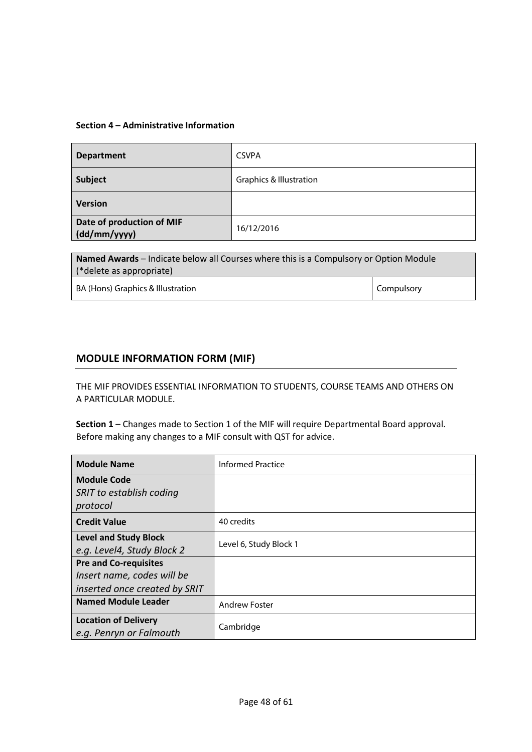### **Section 4 – Administrative Information**

| <b>Department</b>                         | <b>CSVPA</b>                       |
|-------------------------------------------|------------------------------------|
| Subject                                   | <b>Graphics &amp; Illustration</b> |
| <b>Version</b>                            |                                    |
| Date of production of MIF<br>(dd/mm/yyyy) | 16/12/2016                         |

| <b>Named Awards</b> – Indicate below all Courses where this is a Compulsory or Option Module |            |  |  |
|----------------------------------------------------------------------------------------------|------------|--|--|
| (*delete as appropriate)                                                                     |            |  |  |
| BA (Hons) Graphics & Illustration                                                            | Compulsory |  |  |

### **MODULE INFORMATION FORM (MIF)**

THE MIF PROVIDES ESSENTIAL INFORMATION TO STUDENTS, COURSE TEAMS AND OTHERS ON A PARTICULAR MODULE.

| <b>Module Name</b>            | <b>Informed Practice</b> |  |
|-------------------------------|--------------------------|--|
| <b>Module Code</b>            |                          |  |
| SRIT to establish coding      |                          |  |
| protocol                      |                          |  |
| <b>Credit Value</b>           | 40 credits               |  |
| <b>Level and Study Block</b>  |                          |  |
| e.g. Level4, Study Block 2    | Level 6, Study Block 1   |  |
| <b>Pre and Co-requisites</b>  |                          |  |
| Insert name, codes will be    |                          |  |
| inserted once created by SRIT |                          |  |
| <b>Named Module Leader</b>    | <b>Andrew Foster</b>     |  |
| <b>Location of Delivery</b>   | Cambridge                |  |
| e.g. Penryn or Falmouth       |                          |  |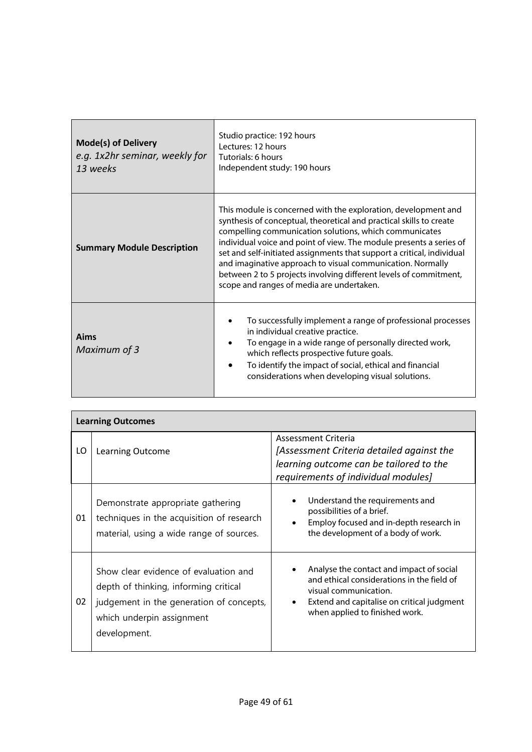| <b>Mode(s) of Delivery</b><br>e.g. 1x2hr seminar, weekly for<br>13 weeks | Studio practice: 192 hours<br>Lectures: 12 hours<br>Tutorials: 6 hours<br>Independent study: 190 hours                                                                                                                                                                                                                                                                                                                                                                                                                           |  |  |
|--------------------------------------------------------------------------|----------------------------------------------------------------------------------------------------------------------------------------------------------------------------------------------------------------------------------------------------------------------------------------------------------------------------------------------------------------------------------------------------------------------------------------------------------------------------------------------------------------------------------|--|--|
| <b>Summary Module Description</b>                                        | This module is concerned with the exploration, development and<br>synthesis of conceptual, theoretical and practical skills to create<br>compelling communication solutions, which communicates<br>individual voice and point of view. The module presents a series of<br>set and self-initiated assignments that support a critical, individual<br>and imaginative approach to visual communication. Normally<br>between 2 to 5 projects involving different levels of commitment,<br>scope and ranges of media are undertaken. |  |  |
| Aims<br>Maximum of 3                                                     | To successfully implement a range of professional processes<br>in individual creative practice.<br>To engage in a wide range of personally directed work,<br>which reflects prospective future goals.<br>To identify the impact of social, ethical and financial<br>considerations when developing visual solutions.                                                                                                                                                                                                             |  |  |

| <b>Learning Outcomes</b> |                                                                                                                                                                         |                                                                                                                                                                                                 |  |  |  |  |
|--------------------------|-------------------------------------------------------------------------------------------------------------------------------------------------------------------------|-------------------------------------------------------------------------------------------------------------------------------------------------------------------------------------------------|--|--|--|--|
| LO                       | Learning Outcome                                                                                                                                                        | Assessment Criteria<br>[Assessment Criteria detailed against the<br>learning outcome can be tailored to the<br>requirements of individual modules]                                              |  |  |  |  |
| 01                       | Demonstrate appropriate gathering<br>techniques in the acquisition of research<br>material, using a wide range of sources.                                              | Understand the requirements and<br>possibilities of a brief.<br>Employ focused and in-depth research in<br>the development of a body of work.                                                   |  |  |  |  |
| 02                       | Show clear evidence of evaluation and<br>depth of thinking, informing critical<br>judgement in the generation of concepts,<br>which underpin assignment<br>development. | Analyse the contact and impact of social<br>and ethical considerations in the field of<br>visual communication.<br>Extend and capitalise on critical judgment<br>when applied to finished work. |  |  |  |  |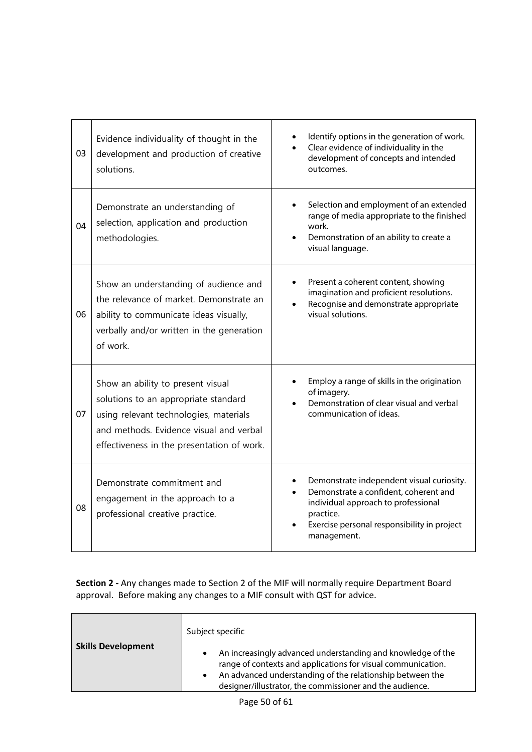| 03 | Evidence individuality of thought in the<br>development and production of creative<br>solutions.                                                                                                             | Identify options in the generation of work.<br>Clear evidence of individuality in the<br>development of concepts and intended<br>outcomes.                                                           |
|----|--------------------------------------------------------------------------------------------------------------------------------------------------------------------------------------------------------------|------------------------------------------------------------------------------------------------------------------------------------------------------------------------------------------------------|
| 04 | Demonstrate an understanding of<br>selection, application and production<br>methodologies.                                                                                                                   | Selection and employment of an extended<br>range of media appropriate to the finished<br>work.<br>Demonstration of an ability to create a<br>$\bullet$<br>visual language.                           |
| 06 | Show an understanding of audience and<br>the relevance of market. Demonstrate an<br>ability to communicate ideas visually,<br>verbally and/or written in the generation<br>of work.                          | Present a coherent content, showing<br>imagination and proficient resolutions.<br>Recognise and demonstrate appropriate<br>visual solutions.                                                         |
| 07 | Show an ability to present visual<br>solutions to an appropriate standard<br>using relevant technologies, materials<br>and methods. Evidence visual and verbal<br>effectiveness in the presentation of work. | Employ a range of skills in the origination<br>of imagery.<br>Demonstration of clear visual and verbal<br>communication of ideas.                                                                    |
| 08 | Demonstrate commitment and<br>engagement in the approach to a<br>professional creative practice.                                                                                                             | Demonstrate independent visual curiosity.<br>Demonstrate a confident, coherent and<br>individual approach to professional<br>practice.<br>Exercise personal responsibility in project<br>management. |

| Subject specific<br>An increasingly advanced understanding and knowledge of the<br>$\bullet$<br>range of contexts and applications for visual communication.<br>An advanced understanding of the relationship between the<br>$\bullet$<br>designer/illustrator, the commissioner and the audience. |
|----------------------------------------------------------------------------------------------------------------------------------------------------------------------------------------------------------------------------------------------------------------------------------------------------|
|                                                                                                                                                                                                                                                                                                    |
|                                                                                                                                                                                                                                                                                                    |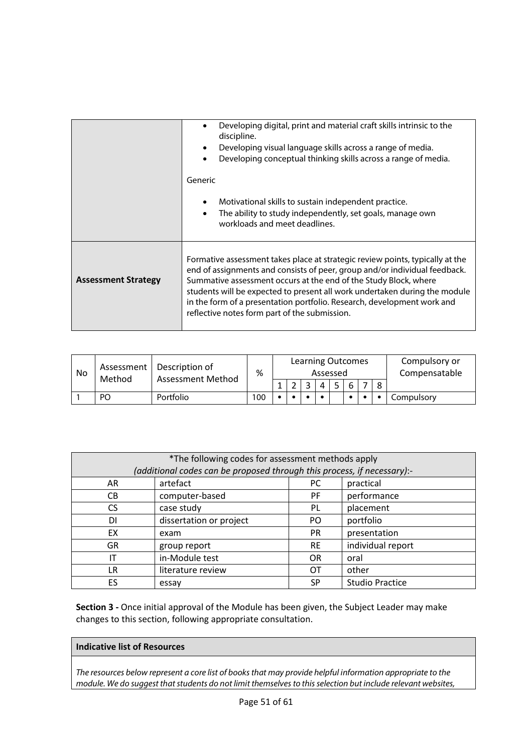|                            | Developing digital, print and material craft skills intrinsic to the<br>discipline.<br>Developing visual language skills across a range of media.<br>Developing conceptual thinking skills across a range of media.<br>Generic                                                                                                                                                                                                            |
|----------------------------|-------------------------------------------------------------------------------------------------------------------------------------------------------------------------------------------------------------------------------------------------------------------------------------------------------------------------------------------------------------------------------------------------------------------------------------------|
|                            | Motivational skills to sustain independent practice.<br>The ability to study independently, set goals, manage own<br>workloads and meet deadlines.                                                                                                                                                                                                                                                                                        |
| <b>Assessment Strategy</b> | Formative assessment takes place at strategic review points, typically at the<br>end of assignments and consists of peer, group and/or individual feedback.<br>Summative assessment occurs at the end of the Study Block, where<br>students will be expected to present all work undertaken during the module<br>in the form of a presentation portfolio. Research, development work and<br>reflective notes form part of the submission. |

| No | Assessment<br>Method | Description of<br><b>Assessment Method</b> | %   | <b>Learning Outcomes</b><br>Assessed |  |  |  |  |  | Compulsory or<br>Compensatable |            |
|----|----------------------|--------------------------------------------|-----|--------------------------------------|--|--|--|--|--|--------------------------------|------------|
|    |                      |                                            |     |                                      |  |  |  |  |  |                                |            |
|    | PO                   | Portfolio                                  | 100 |                                      |  |  |  |  |  |                                | Compulsorv |

| *The following codes for assessment methods apply<br>(additional codes can be proposed through this process, if necessary):- |                         |                  |                        |  |  |  |
|------------------------------------------------------------------------------------------------------------------------------|-------------------------|------------------|------------------------|--|--|--|
| AR                                                                                                                           | artefact                | practical<br>PC. |                        |  |  |  |
| CВ                                                                                                                           | computer-based          | PF.              | performance            |  |  |  |
| <b>CS</b>                                                                                                                    | case study              | PL               | placement              |  |  |  |
| DI                                                                                                                           | dissertation or project | PO.              | portfolio              |  |  |  |
| EX                                                                                                                           | exam                    | <b>PR</b>        | presentation           |  |  |  |
| <b>GR</b>                                                                                                                    | group report            | <b>RE</b>        | individual report      |  |  |  |
| IT                                                                                                                           | in-Module test          | <b>OR</b>        | oral                   |  |  |  |
| LR                                                                                                                           | literature review       | ОT               | other                  |  |  |  |
| ES                                                                                                                           | essay                   | SP               | <b>Studio Practice</b> |  |  |  |

### **Indicative list of Resources**

*The resources below represent a core list of books that may provide helpful information appropriate to the module. We do suggest that students do not limit themselves to this selection but include relevant websites,*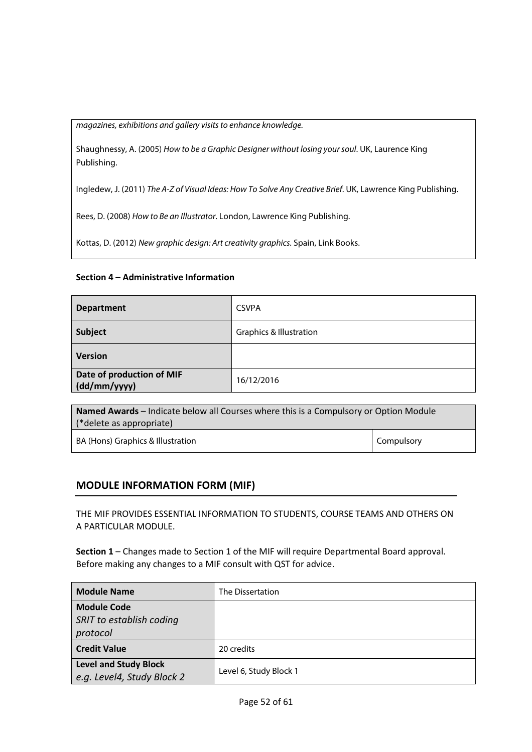*magazines, exhibitions and gallery visits to enhance knowledge.*

Shaughnessy, A. (2005) *How to be a Graphic Designer without losing your soul*. UK, Laurence King Publishing.

Ingledew, J. (2011) *The A-Z of Visual Ideas: How To Solve Any Creative Brief*. UK, Lawrence King Publishing.

Rees, D. (2008) *How to Be an Illustrator*. London, Lawrence King Publishing.

Kottas, D. (2012) *New graphic design: Art creativity graphics.* Spain, Link Books.

### **Section 4 – Administrative Information**

| <b>Department</b>                         | <b>CSVPA</b>                       |
|-------------------------------------------|------------------------------------|
| Subject                                   | <b>Graphics &amp; Illustration</b> |
| <b>Version</b>                            |                                    |
| Date of production of MIF<br>(dd/mm/yyyy) | 16/12/2016                         |

| <b>Named Awards</b> – Indicate below all Courses where this is a Compulsory or Option Module |            |  |
|----------------------------------------------------------------------------------------------|------------|--|
| (*delete as appropriate)                                                                     |            |  |
| BA (Hons) Graphics & Illustration                                                            | Compulsory |  |

### **MODULE INFORMATION FORM (MIF)**

THE MIF PROVIDES ESSENTIAL INFORMATION TO STUDENTS, COURSE TEAMS AND OTHERS ON A PARTICULAR MODULE.

| <b>Module Name</b>                                         | The Dissertation       |
|------------------------------------------------------------|------------------------|
| <b>Module Code</b><br>SRIT to establish coding             |                        |
| protocol                                                   |                        |
| <b>Credit Value</b>                                        | 20 credits             |
| <b>Level and Study Block</b><br>e.g. Level4, Study Block 2 | Level 6, Study Block 1 |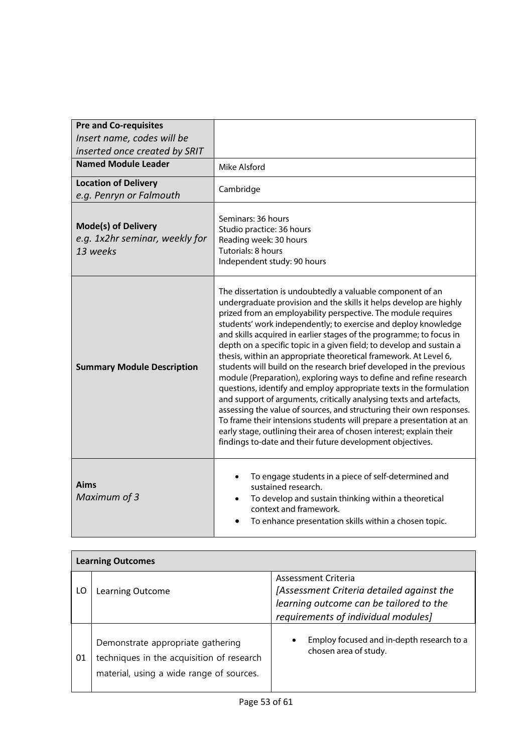| <b>Pre and Co-requisites</b><br>Insert name, codes will be               |                                                                                                                                                                                                                                                                                                                                                                                                                                                                                                                                                                                                                                                                                                                                                                                                                                                                                                                                                                                                                                                                       |
|--------------------------------------------------------------------------|-----------------------------------------------------------------------------------------------------------------------------------------------------------------------------------------------------------------------------------------------------------------------------------------------------------------------------------------------------------------------------------------------------------------------------------------------------------------------------------------------------------------------------------------------------------------------------------------------------------------------------------------------------------------------------------------------------------------------------------------------------------------------------------------------------------------------------------------------------------------------------------------------------------------------------------------------------------------------------------------------------------------------------------------------------------------------|
| inserted once created by SRIT                                            |                                                                                                                                                                                                                                                                                                                                                                                                                                                                                                                                                                                                                                                                                                                                                                                                                                                                                                                                                                                                                                                                       |
| <b>Named Module Leader</b>                                               | Mike Alsford                                                                                                                                                                                                                                                                                                                                                                                                                                                                                                                                                                                                                                                                                                                                                                                                                                                                                                                                                                                                                                                          |
| <b>Location of Delivery</b><br>e.g. Penryn or Falmouth                   | Cambridge                                                                                                                                                                                                                                                                                                                                                                                                                                                                                                                                                                                                                                                                                                                                                                                                                                                                                                                                                                                                                                                             |
| <b>Mode(s) of Delivery</b><br>e.g. 1x2hr seminar, weekly for<br>13 weeks | Seminars: 36 hours<br>Studio practice: 36 hours<br>Reading week: 30 hours<br>Tutorials: 8 hours<br>Independent study: 90 hours                                                                                                                                                                                                                                                                                                                                                                                                                                                                                                                                                                                                                                                                                                                                                                                                                                                                                                                                        |
| <b>Summary Module Description</b>                                        | The dissertation is undoubtedly a valuable component of an<br>undergraduate provision and the skills it helps develop are highly<br>prized from an employability perspective. The module requires<br>students' work independently; to exercise and deploy knowledge<br>and skills acquired in earlier stages of the programme; to focus in<br>depth on a specific topic in a given field; to develop and sustain a<br>thesis, within an appropriate theoretical framework. At Level 6,<br>students will build on the research brief developed in the previous<br>module (Preparation), exploring ways to define and refine research<br>questions, identify and employ appropriate texts in the formulation<br>and support of arguments, critically analysing texts and artefacts,<br>assessing the value of sources, and structuring their own responses.<br>To frame their intensions students will prepare a presentation at an<br>early stage, outlining their area of chosen interest; explain their<br>findings to-date and their future development objectives. |
| Aims<br>Maximum of 3                                                     | To engage students in a piece of self-determined and<br>$\bullet$<br>sustained research.<br>To develop and sustain thinking within a theoretical<br>$\bullet$<br>context and framework.<br>To enhance presentation skills within a chosen topic.                                                                                                                                                                                                                                                                                                                                                                                                                                                                                                                                                                                                                                                                                                                                                                                                                      |

|    | <b>Learning Outcomes</b>                                                                                                   |                                                                                                                                                    |  |  |  |  |  |
|----|----------------------------------------------------------------------------------------------------------------------------|----------------------------------------------------------------------------------------------------------------------------------------------------|--|--|--|--|--|
| LO | Learning Outcome                                                                                                           | Assessment Criteria<br>[Assessment Criteria detailed against the<br>learning outcome can be tailored to the<br>requirements of individual modules] |  |  |  |  |  |
| 01 | Demonstrate appropriate gathering<br>techniques in the acquisition of research<br>material, using a wide range of sources. | Employ focused and in-depth research to a<br>chosen area of study.                                                                                 |  |  |  |  |  |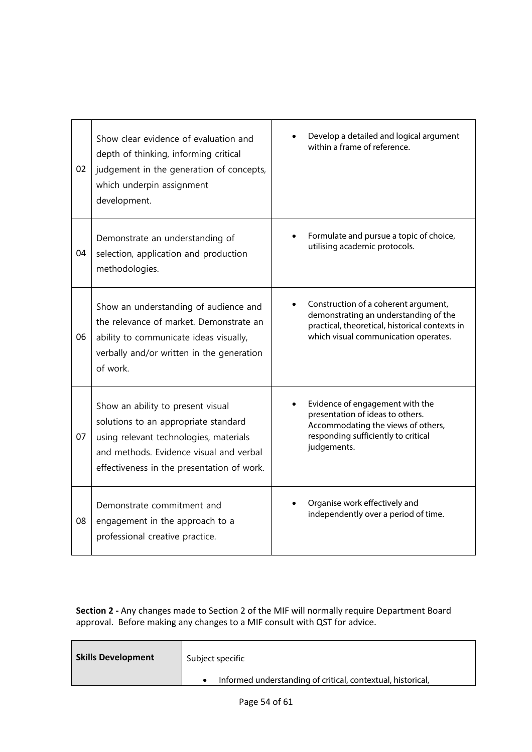| 02 | Show clear evidence of evaluation and<br>depth of thinking, informing critical<br>judgement in the generation of concepts,<br>which underpin assignment<br>development.                                      | Develop a detailed and logical argument<br>within a frame of reference.                                                                                                 |
|----|--------------------------------------------------------------------------------------------------------------------------------------------------------------------------------------------------------------|-------------------------------------------------------------------------------------------------------------------------------------------------------------------------|
| 04 | Demonstrate an understanding of<br>selection, application and production<br>methodologies.                                                                                                                   | Formulate and pursue a topic of choice,<br>utilising academic protocols.                                                                                                |
| 06 | Show an understanding of audience and<br>the relevance of market. Demonstrate an<br>ability to communicate ideas visually,<br>verbally and/or written in the generation<br>of work.                          | Construction of a coherent argument,<br>demonstrating an understanding of the<br>practical, theoretical, historical contexts in<br>which visual communication operates. |
| 07 | Show an ability to present visual<br>solutions to an appropriate standard<br>using relevant technologies, materials<br>and methods. Evidence visual and verbal<br>effectiveness in the presentation of work. | Evidence of engagement with the<br>presentation of ideas to others.<br>Accommodating the views of others,<br>responding sufficiently to critical<br>judgements.         |
| 08 | Demonstrate commitment and<br>engagement in the approach to a<br>professional creative practice.                                                                                                             | Organise work effectively and<br>independently over a period of time.                                                                                                   |

| <b>Skills Development</b> | Subject specific                                            |
|---------------------------|-------------------------------------------------------------|
|                           | Informed understanding of critical, contextual, historical, |
|                           |                                                             |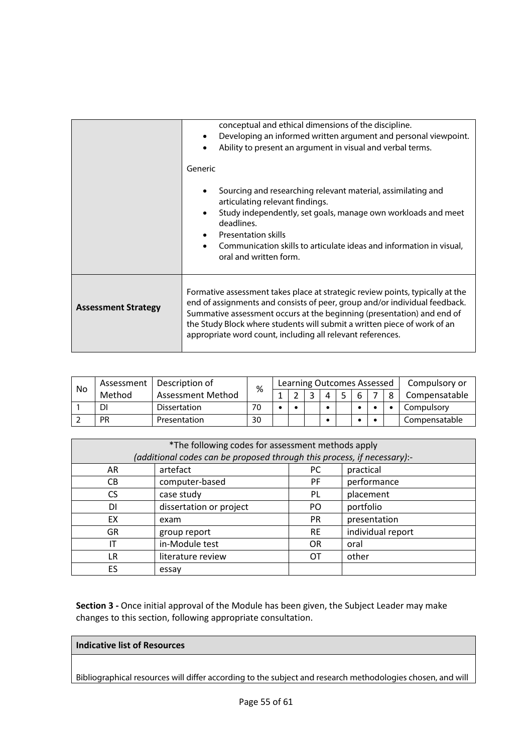|                            | conceptual and ethical dimensions of the discipline.<br>Developing an informed written argument and personal viewpoint.<br>$\bullet$<br>Ability to present an argument in visual and verbal terms.                                                                                                                                                                              |
|----------------------------|---------------------------------------------------------------------------------------------------------------------------------------------------------------------------------------------------------------------------------------------------------------------------------------------------------------------------------------------------------------------------------|
|                            | Generic                                                                                                                                                                                                                                                                                                                                                                         |
|                            | Sourcing and researching relevant material, assimilating and<br>articulating relevant findings.                                                                                                                                                                                                                                                                                 |
|                            | Study independently, set goals, manage own workloads and meet<br>$\bullet$<br>deadlines.<br><b>Presentation skills</b>                                                                                                                                                                                                                                                          |
|                            | Communication skills to articulate ideas and information in visual,<br>oral and written form.                                                                                                                                                                                                                                                                                   |
| <b>Assessment Strategy</b> | Formative assessment takes place at strategic review points, typically at the<br>end of assignments and consists of peer, group and/or individual feedback.<br>Summative assessment occurs at the beginning (presentation) and end of<br>the Study Block where students will submit a written piece of work of an<br>appropriate word count, including all relevant references. |

| No | Assessment | Description of           | %  |  | Learning Outcomes Assessed |  |  | Compulsory or |
|----|------------|--------------------------|----|--|----------------------------|--|--|---------------|
|    | Method     | <b>Assessment Method</b> |    |  |                            |  |  | Compensatable |
|    | DI         | <b>Dissertation</b>      | 70 |  |                            |  |  | Compulsory    |
|    | <b>PR</b>  | Presentation             | 30 |  |                            |  |  | Compensatable |

| *The following codes for assessment methods apply |                                                                         |           |                   |  |  |  |  |  |
|---------------------------------------------------|-------------------------------------------------------------------------|-----------|-------------------|--|--|--|--|--|
|                                                   | (additional codes can be proposed through this process, if necessary):- |           |                   |  |  |  |  |  |
| AR                                                | artefact                                                                | PC.       | practical         |  |  |  |  |  |
| CВ                                                | computer-based                                                          | PF.       | performance       |  |  |  |  |  |
| <b>CS</b>                                         | case study                                                              | PL        | placement         |  |  |  |  |  |
| DΙ                                                | dissertation or project                                                 | PO.       | portfolio         |  |  |  |  |  |
| EX                                                | exam                                                                    | <b>PR</b> | presentation      |  |  |  |  |  |
| GR                                                | group report                                                            | <b>RE</b> | individual report |  |  |  |  |  |
| IT                                                | in-Module test                                                          | <b>OR</b> | oral              |  |  |  |  |  |
| LR                                                | literature review                                                       | OТ        | other             |  |  |  |  |  |
| ES                                                | essay                                                                   |           |                   |  |  |  |  |  |

### **Indicative list of Resources**

Bibliographical resources will differ according to the subject and research methodologies chosen, and will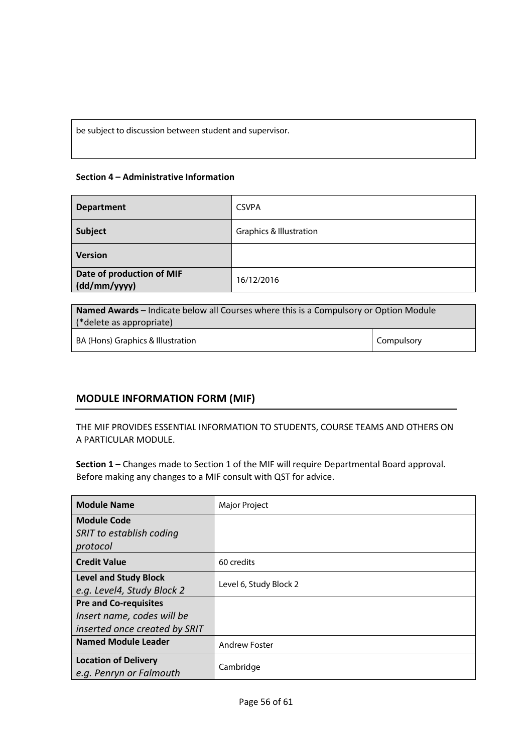be subject to discussion between student and supervisor.

### **Section 4 – Administrative Information**

| <b>Department</b>                         | <b>CSVPA</b>                       |
|-------------------------------------------|------------------------------------|
| Subject                                   | <b>Graphics &amp; Illustration</b> |
| <b>Version</b>                            |                                    |
| Date of production of MIF<br>(dd/mm/yyyy) | 16/12/2016                         |

**Named Awards** – Indicate below all Courses where this is a Compulsory or Option Module (\*delete as appropriate) BA (Hons) Graphics & Illustration Compulsory Compulsory

### **MODULE INFORMATION FORM (MIF)**

THE MIF PROVIDES ESSENTIAL INFORMATION TO STUDENTS, COURSE TEAMS AND OTHERS ON A PARTICULAR MODULE.

| <b>Module Name</b>            | Major Project          |  |  |  |
|-------------------------------|------------------------|--|--|--|
| <b>Module Code</b>            |                        |  |  |  |
| SRIT to establish coding      |                        |  |  |  |
| protocol                      |                        |  |  |  |
| <b>Credit Value</b>           | 60 credits             |  |  |  |
| <b>Level and Study Block</b>  | Level 6, Study Block 2 |  |  |  |
| e.g. Level4, Study Block 2    |                        |  |  |  |
| <b>Pre and Co-requisites</b>  |                        |  |  |  |
| Insert name, codes will be    |                        |  |  |  |
| inserted once created by SRIT |                        |  |  |  |
| <b>Named Module Leader</b>    | <b>Andrew Foster</b>   |  |  |  |
| <b>Location of Delivery</b>   |                        |  |  |  |
| e.g. Penryn or Falmouth       | Cambridge              |  |  |  |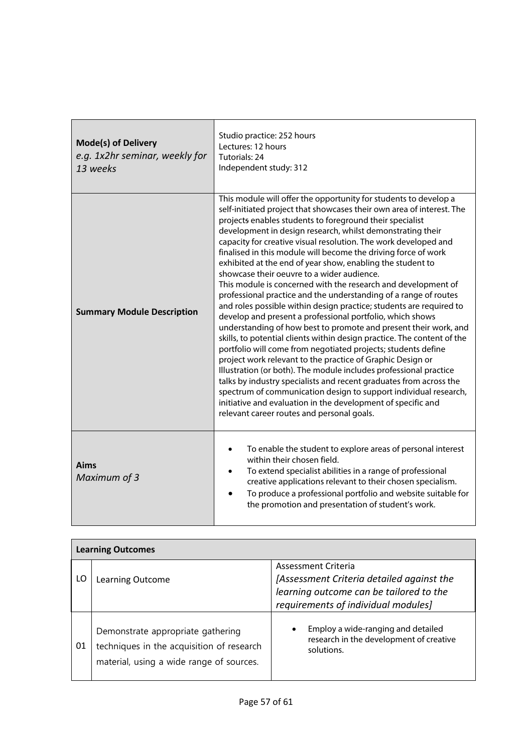| <b>Mode(s) of Delivery</b><br>e.g. 1x2hr seminar, weekly for<br>13 weeks | Studio practice: 252 hours<br>Lectures: 12 hours<br>Tutorials: 24<br>Independent study: 312                                                                                                                                                                                                                                                                                                                                                                                                                                                                                                                                                                                                                                                                                                                                                                                                                                                                                                                                                                                                                                                                                                                                                                                                                                                                                                              |  |  |  |  |
|--------------------------------------------------------------------------|----------------------------------------------------------------------------------------------------------------------------------------------------------------------------------------------------------------------------------------------------------------------------------------------------------------------------------------------------------------------------------------------------------------------------------------------------------------------------------------------------------------------------------------------------------------------------------------------------------------------------------------------------------------------------------------------------------------------------------------------------------------------------------------------------------------------------------------------------------------------------------------------------------------------------------------------------------------------------------------------------------------------------------------------------------------------------------------------------------------------------------------------------------------------------------------------------------------------------------------------------------------------------------------------------------------------------------------------------------------------------------------------------------|--|--|--|--|
| <b>Summary Module Description</b>                                        | This module will offer the opportunity for students to develop a<br>self-initiated project that showcases their own area of interest. The<br>projects enables students to foreground their specialist<br>development in design research, whilst demonstrating their<br>capacity for creative visual resolution. The work developed and<br>finalised in this module will become the driving force of work<br>exhibited at the end of year show, enabling the student to<br>showcase their oeuvre to a wider audience.<br>This module is concerned with the research and development of<br>professional practice and the understanding of a range of routes<br>and roles possible within design practice; students are required to<br>develop and present a professional portfolio, which shows<br>understanding of how best to promote and present their work, and<br>skills, to potential clients within design practice. The content of the<br>portfolio will come from negotiated projects; students define<br>project work relevant to the practice of Graphic Design or<br>Illustration (or both). The module includes professional practice<br>talks by industry specialists and recent graduates from across the<br>spectrum of communication design to support individual research,<br>initiative and evaluation in the development of specific and<br>relevant career routes and personal goals. |  |  |  |  |
| <b>Aims</b><br>Maximum of 3                                              | To enable the student to explore areas of personal interest<br>٠<br>within their chosen field.<br>To extend specialist abilities in a range of professional<br>$\bullet$<br>creative applications relevant to their chosen specialism.<br>To produce a professional portfolio and website suitable for<br>the promotion and presentation of student's work.                                                                                                                                                                                                                                                                                                                                                                                                                                                                                                                                                                                                                                                                                                                                                                                                                                                                                                                                                                                                                                              |  |  |  |  |

|    | <b>Learning Outcomes</b>                                                                                                   |                                                                                                                                                    |  |  |  |  |  |  |  |
|----|----------------------------------------------------------------------------------------------------------------------------|----------------------------------------------------------------------------------------------------------------------------------------------------|--|--|--|--|--|--|--|
| LO | Learning Outcome                                                                                                           | Assessment Criteria<br>[Assessment Criteria detailed against the<br>learning outcome can be tailored to the<br>requirements of individual modules] |  |  |  |  |  |  |  |
| 01 | Demonstrate appropriate gathering<br>techniques in the acquisition of research<br>material, using a wide range of sources. | Employ a wide-ranging and detailed<br>$\bullet$<br>research in the development of creative<br>solutions.                                           |  |  |  |  |  |  |  |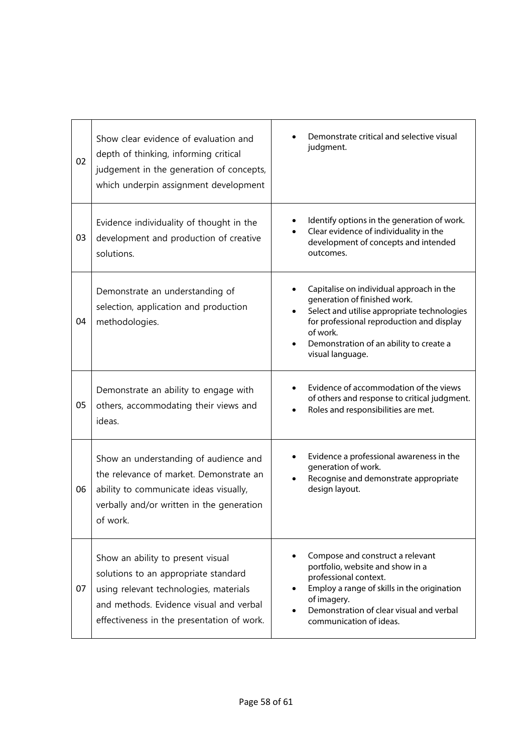| 02 | Show clear evidence of evaluation and<br>depth of thinking, informing critical<br>judgement in the generation of concepts,<br>which underpin assignment development                                          | Demonstrate critical and selective visual<br>judgment.                                                                                                                                                                                          |
|----|--------------------------------------------------------------------------------------------------------------------------------------------------------------------------------------------------------------|-------------------------------------------------------------------------------------------------------------------------------------------------------------------------------------------------------------------------------------------------|
| 03 | Evidence individuality of thought in the<br>development and production of creative<br>solutions.                                                                                                             | Identify options in the generation of work.<br>Clear evidence of individuality in the<br>development of concepts and intended<br>outcomes.                                                                                                      |
| 04 | Demonstrate an understanding of<br>selection, application and production<br>methodologies.                                                                                                                   | Capitalise on individual approach in the<br>generation of finished work.<br>Select and utilise appropriate technologies<br>for professional reproduction and display<br>of work.<br>Demonstration of an ability to create a<br>visual language. |
| 05 | Demonstrate an ability to engage with<br>others, accommodating their views and<br>ideas.                                                                                                                     | Evidence of accommodation of the views<br>of others and response to critical judgment.<br>Roles and responsibilities are met.                                                                                                                   |
| 06 | Show an understanding of audience and<br>the relevance of market. Demonstrate an<br>ability to communicate ideas visually,<br>verbally and/or written in the generation<br>of work.                          | Evidence a professional awareness in the<br>generation of work.<br>Recognise and demonstrate appropriate<br>design layout.                                                                                                                      |
| 07 | Show an ability to present visual<br>solutions to an appropriate standard<br>using relevant technologies, materials<br>and methods. Evidence visual and verbal<br>effectiveness in the presentation of work. | Compose and construct a relevant<br>portfolio, website and show in a<br>professional context.<br>Employ a range of skills in the origination<br>of imagery.<br>Demonstration of clear visual and verbal<br>communication of ideas.              |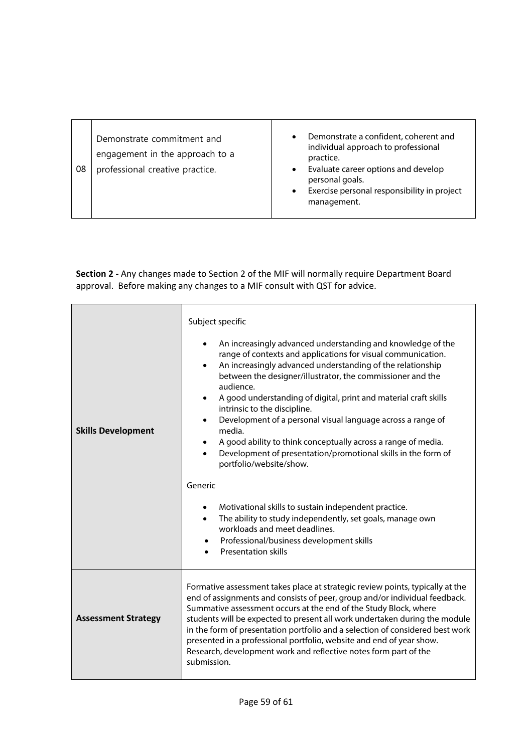| Demonstrate commitment and<br>engagement in the approach to a<br>08<br>professional creative practice. | Demonstrate a confident, coherent and<br>$\bullet$<br>individual approach to professional<br>practice.<br>Evaluate career options and develop<br>personal goals.<br>Exercise personal responsibility in project<br>management. |
|--------------------------------------------------------------------------------------------------------|--------------------------------------------------------------------------------------------------------------------------------------------------------------------------------------------------------------------------------|
|--------------------------------------------------------------------------------------------------------|--------------------------------------------------------------------------------------------------------------------------------------------------------------------------------------------------------------------------------|

|                            | Subject specific                                                                                                                                                                                                                                                                                                                                                                                                                                                                                                                                                                                                                                                                                                                                                                                                                                          |  |  |  |  |  |  |  |  |
|----------------------------|-----------------------------------------------------------------------------------------------------------------------------------------------------------------------------------------------------------------------------------------------------------------------------------------------------------------------------------------------------------------------------------------------------------------------------------------------------------------------------------------------------------------------------------------------------------------------------------------------------------------------------------------------------------------------------------------------------------------------------------------------------------------------------------------------------------------------------------------------------------|--|--|--|--|--|--|--|--|
| <b>Skills Development</b>  | An increasingly advanced understanding and knowledge of the<br>range of contexts and applications for visual communication.<br>An increasingly advanced understanding of the relationship<br>between the designer/illustrator, the commissioner and the<br>audience.<br>A good understanding of digital, print and material craft skills<br>intrinsic to the discipline.<br>Development of a personal visual language across a range of<br>media.<br>A good ability to think conceptually across a range of media.<br>Development of presentation/promotional skills in the form of<br>portfolio/website/show.<br>Generic<br>Motivational skills to sustain independent practice.<br>The ability to study independently, set goals, manage own<br>workloads and meet deadlines.<br>Professional/business development skills<br><b>Presentation skills</b> |  |  |  |  |  |  |  |  |
| <b>Assessment Strategy</b> | Formative assessment takes place at strategic review points, typically at the<br>end of assignments and consists of peer, group and/or individual feedback.<br>Summative assessment occurs at the end of the Study Block, where<br>students will be expected to present all work undertaken during the module<br>in the form of presentation portfolio and a selection of considered best work<br>presented in a professional portfolio, website and end of year show.<br>Research, development work and reflective notes form part of the<br>submission.                                                                                                                                                                                                                                                                                                 |  |  |  |  |  |  |  |  |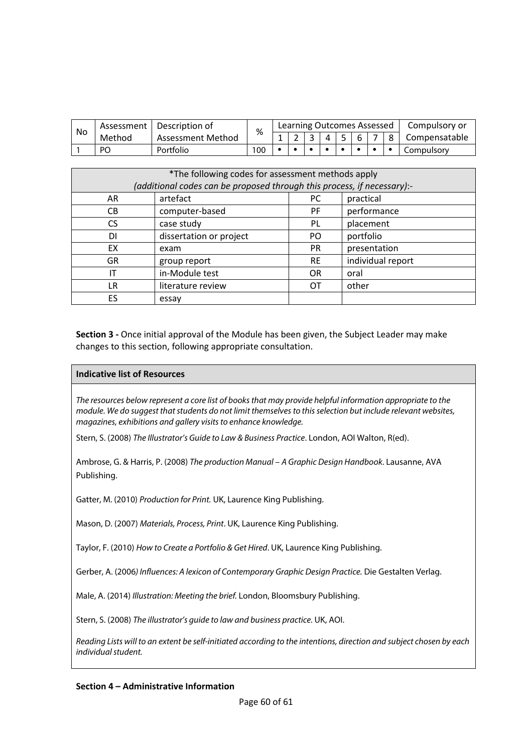| No | Assessment | Description of    | %   |  | Learning Outcomes Assessed |     |  | Compulsory or |
|----|------------|-------------------|-----|--|----------------------------|-----|--|---------------|
|    | Method     | Assessment Method |     |  |                            | i 6 |  | Compensatable |
|    | PO         | Portfolio         | 100 |  |                            |     |  | Compulsory    |

| *The following codes for assessment methods apply |                                                                         |           |                   |  |  |  |  |  |
|---------------------------------------------------|-------------------------------------------------------------------------|-----------|-------------------|--|--|--|--|--|
|                                                   | (additional codes can be proposed through this process, if necessary):- |           |                   |  |  |  |  |  |
| AR                                                | artefact                                                                | PC.       | practical         |  |  |  |  |  |
| CB.                                               | computer-based                                                          | <b>PF</b> | performance       |  |  |  |  |  |
| CS.                                               | case study                                                              | <b>PL</b> | placement         |  |  |  |  |  |
| DI                                                | dissertation or project                                                 | PO.       | portfolio         |  |  |  |  |  |
| EX                                                | exam                                                                    | <b>PR</b> | presentation      |  |  |  |  |  |
| <b>GR</b>                                         | group report                                                            | <b>RE</b> | individual report |  |  |  |  |  |
| ΙT                                                | in-Module test                                                          | <b>OR</b> | oral              |  |  |  |  |  |
| LR                                                | literature review                                                       | ОT        | other             |  |  |  |  |  |
| ES.                                               | essay                                                                   |           |                   |  |  |  |  |  |

### **Indicative list of Resources**

*The resources below represent a core list of books that may provide helpful information appropriate to the module. We do suggest that students do not limit themselves to this selection but include relevant websites, magazines, exhibitions and gallery visits to enhance knowledge.*

Stern, S. (2008) *The Illustrator's Guide to Law & Business Practice*. London, AOI Walton, R(ed).

Ambrose, G. & Harris, P. (2008) *The production Manual – A Graphic Design Handbook*. Lausanne, AVA Publishing.

Gatter, M. (2010) *Production for Print.* UK, Laurence King Publishing.

Mason, D. (2007) *Materials, Process, Print*. UK, Laurence King Publishing.

Taylor, F. (2010) *How to Create a Portfolio & Get Hired*. UK, Laurence King Publishing.

Gerber, A. (2006*) Influences: A lexicon of Contemporary Graphic Design Practice.* Die Gestalten Verlag.

Male, A. (2014) *Illustration: Meeting the brief.* London, Bloomsbury Publishing.

Stern, S. (2008) *The illustrator's guide to law and business practice.* UK, AOI.

*Reading Lists will to an extent be self-initiated according to the intentions, direction and subject chosen by each individual student.*

#### **Section 4 – Administrative Information**